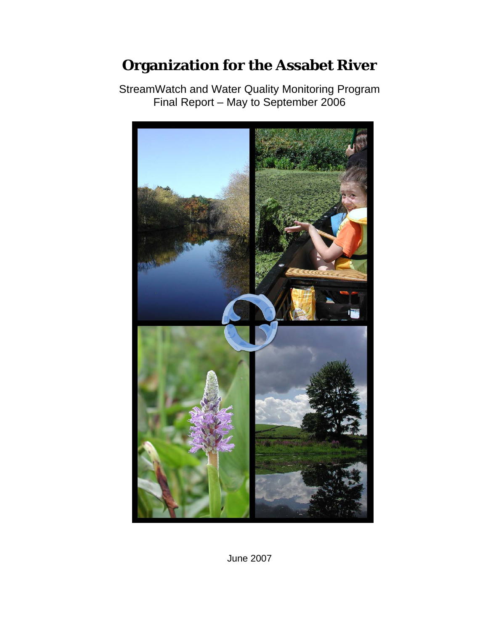# **Organization for the Assabet River**

StreamWatch and Water Quality Monitoring Program Final Report – May to September 2006



June 2007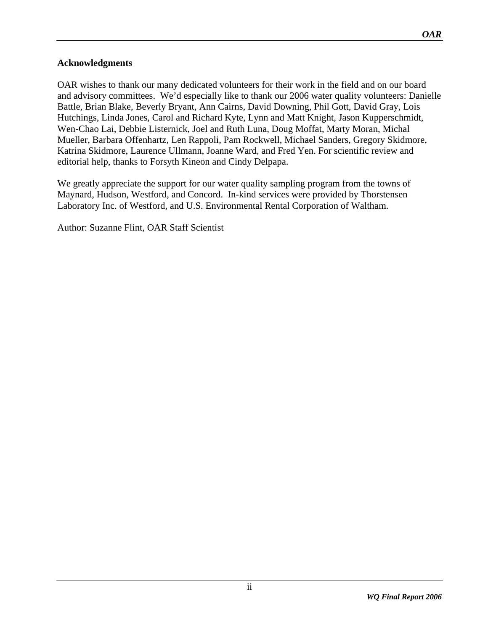### <span id="page-1-0"></span>**Acknowledgments**

OAR wishes to thank our many dedicated volunteers for their work in the field and on our board and advisory committees. We'd especially like to thank our 2006 water quality volunteers: Danielle Battle, Brian Blake, Beverly Bryant, Ann Cairns, David Downing, Phil Gott, David Gray, Lois Hutchings, Linda Jones, Carol and Richard Kyte, Lynn and Matt Knight, Jason Kupperschmidt, Wen-Chao Lai, Debbie Listernick, Joel and Ruth Luna, Doug Moffat, Marty Moran, Michal Mueller, Barbara Offenhartz, Len Rappoli, Pam Rockwell, Michael Sanders, Gregory Skidmore, Katrina Skidmore, Laurence Ullmann, Joanne Ward, and Fred Yen. For scientific review and editorial help, thanks to Forsyth Kineon and Cindy Delpapa.

We greatly appreciate the support for our water quality sampling program from the towns of Maynard, Hudson, Westford, and Concord. In-kind services were provided by Thorstensen Laboratory Inc. of Westford, and U.S. Environmental Rental Corporation of Waltham.

Author: Suzanne Flint, OAR Staff Scientist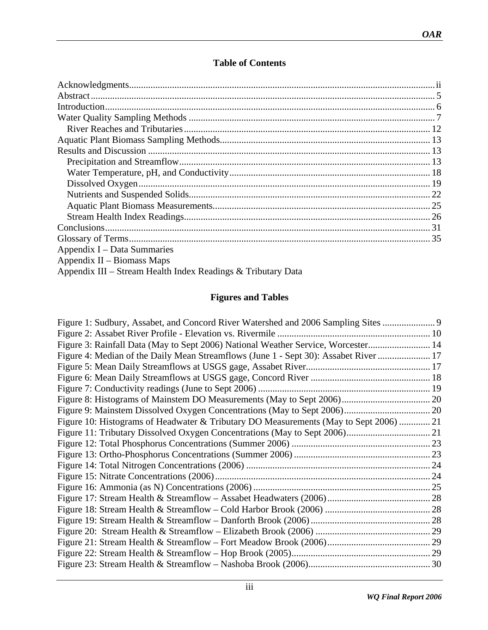# **Table of Contents**

| Appendix I – Data Summaries                                  |  |
|--------------------------------------------------------------|--|
| Appendix II – Biomass Maps                                   |  |
| Appendix III – Stream Health Index Readings & Tributary Data |  |

# **Figures and Tables**

| Figure 1: Sudbury, Assabet, and Concord River Watershed and 2006 Sampling Sites       |
|---------------------------------------------------------------------------------------|
|                                                                                       |
| Figure 3: Rainfall Data (May to Sept 2006) National Weather Service, Worcester 14     |
| Figure 4: Median of the Daily Mean Streamflows (June 1 - Sept 30): Assabet River  17  |
|                                                                                       |
|                                                                                       |
|                                                                                       |
|                                                                                       |
|                                                                                       |
| Figure 10: Histograms of Headwater & Tributary DO Measurements (May to Sept 2006)  21 |
|                                                                                       |
|                                                                                       |
|                                                                                       |
|                                                                                       |
|                                                                                       |
|                                                                                       |
|                                                                                       |
|                                                                                       |
|                                                                                       |
|                                                                                       |
|                                                                                       |
|                                                                                       |
|                                                                                       |
|                                                                                       |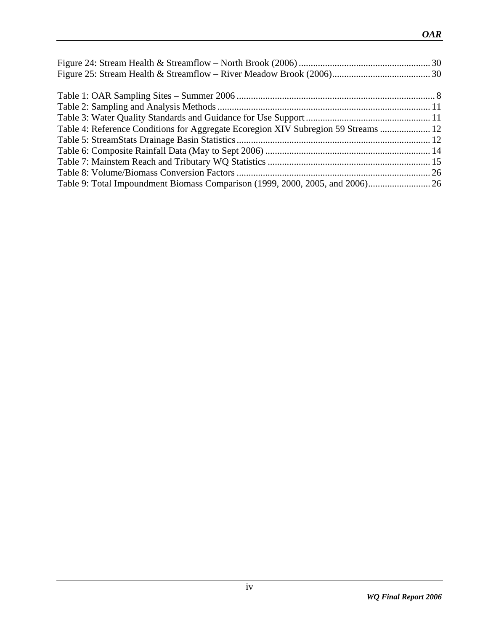| Table 4: Reference Conditions for Aggregate Ecoregion XIV Subregion 59 Streams  12 |  |
|------------------------------------------------------------------------------------|--|
|                                                                                    |  |
|                                                                                    |  |
|                                                                                    |  |
|                                                                                    |  |
|                                                                                    |  |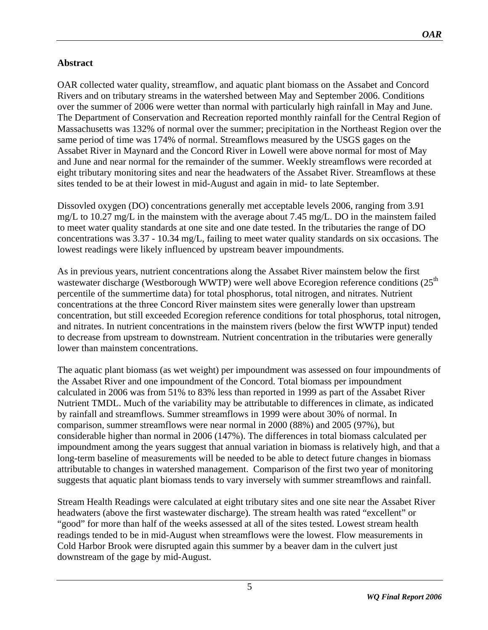# <span id="page-4-0"></span>**Abstract**

OAR collected water quality, streamflow, and aquatic plant biomass on the Assabet and Concord Rivers and on tributary streams in the watershed between May and September 2006. Conditions over the summer of 2006 were wetter than normal with particularly high rainfall in May and June. The Department of Conservation and Recreation reported monthly rainfall for the Central Region of Massachusetts was 132% of normal over the summer; precipitation in the Northeast Region over the same period of time was 174% of normal. Streamflows measured by the USGS gages on the Assabet River in Maynard and the Concord River in Lowell were above normal for most of May and June and near normal for the remainder of the summer. Weekly streamflows were recorded at eight tributary monitoring sites and near the headwaters of the Assabet River. Streamflows at these sites tended to be at their lowest in mid-August and again in mid- to late September.

Dissovled oxygen (DO) concentrations generally met acceptable levels 2006, ranging from 3.91 mg/L to 10.27 mg/L in the mainstem with the average about 7.45 mg/L. DO in the mainstem failed to meet water quality standards at one site and one date tested. In the tributaries the range of DO concentrations was 3.37 - 10.34 mg/L, failing to meet water quality standards on six occasions. The lowest readings were likely influenced by upstream beaver impoundments.

As in previous years, nutrient concentrations along the Assabet River mainstem below the first wastewater discharge (Westborough WWTP) were well above Ecoregion reference conditions (25<sup>th</sup> percentile of the summertime data) for total phosphorus, total nitrogen, and nitrates. Nutrient concentrations at the three Concord River mainstem sites were generally lower than upstream concentration, but still exceeded Ecoregion reference conditions for total phosphorus, total nitrogen, and nitrates. In nutrient concentrations in the mainstem rivers (below the first WWTP input) tended to decrease from upstream to downstream. Nutrient concentration in the tributaries were generally lower than mainstem concentrations.

The aquatic plant biomass (as wet weight) per impoundment was assessed on four impoundments of the Assabet River and one impoundment of the Concord. Total biomass per impoundment calculated in 2006 was from 51% to 83% less than reported in 1999 as part of the Assabet River Nutrient TMDL. Much of the variability may be attributable to differences in climate, as indicated by rainfall and streamflows. Summer streamflows in 1999 were about 30% of normal. In comparison, summer streamflows were near normal in 2000 (88%) and 2005 (97%), but considerable higher than normal in 2006 (147%). The differences in total biomass calculated per impoundment among the years suggest that annual variation in biomass is relatively high, and that a long-term baseline of measurements will be needed to be able to detect future changes in biomass attributable to changes in watershed management. Comparison of the first two year of monitoring suggests that aquatic plant biomass tends to vary inversely with summer streamflows and rainfall.

Stream Health Readings were calculated at eight tributary sites and one site near the Assabet River headwaters (above the first wastewater discharge). The stream health was rated "excellent" or "good" for more than half of the weeks assessed at all of the sites tested. Lowest stream health readings tended to be in mid-August when streamflows were the lowest. Flow measurements in Cold Harbor Brook were disrupted again this summer by a beaver dam in the culvert just downstream of the gage by mid-August.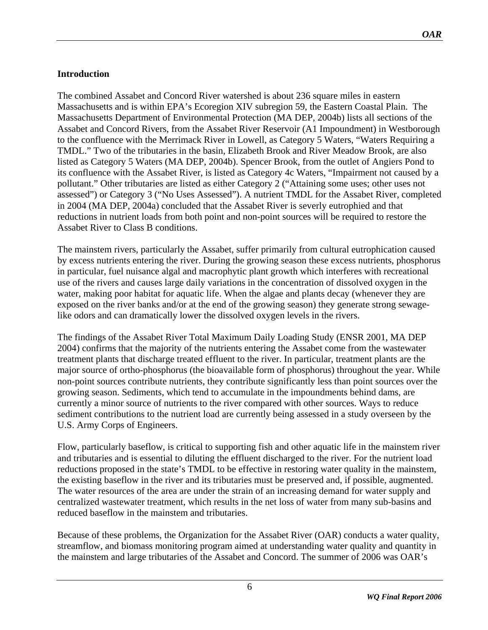### <span id="page-5-0"></span>**Introduction**

The combined Assabet and Concord River watershed is about 236 square miles in eastern Massachusetts and is within EPA's Ecoregion XIV subregion 59, the Eastern Coastal Plain. The Massachusetts Department of Environmental Protection (MA DEP, 2004b) lists all sections of the Assabet and Concord Rivers, from the Assabet River Reservoir (A1 Impoundment) in Westborough to the confluence with the Merrimack River in Lowell, as Category 5 Waters, "Waters Requiring a TMDL." Two of the tributaries in the basin, Elizabeth Brook and River Meadow Brook, are also listed as Category 5 Waters (MA DEP, 2004b). Spencer Brook, from the outlet of Angiers Pond to its confluence with the Assabet River, is listed as Category 4c Waters, "Impairment not caused by a pollutant." Other tributaries are listed as either Category 2 ("Attaining some uses; other uses not assessed") or Category 3 ("No Uses Assessed"). A nutrient TMDL for the Assabet River, completed in 2004 (MA DEP, 2004a) concluded that the Assabet River is severly eutrophied and that reductions in nutrient loads from both point and non-point sources will be required to restore the Assabet River to Class B conditions.

The mainstem rivers, particularly the Assabet, suffer primarily from cultural eutrophication caused by excess nutrients entering the river. During the growing season these excess nutrients, phosphorus in particular, fuel nuisance algal and macrophytic plant growth which interferes with recreational use of the rivers and causes large daily variations in the concentration of dissolved oxygen in the water, making poor habitat for aquatic life. When the algae and plants decay (whenever they are exposed on the river banks and/or at the end of the growing season) they generate strong sewagelike odors and can dramatically lower the dissolved oxygen levels in the rivers.

The findings of the Assabet River Total Maximum Daily Loading Study (ENSR 2001, MA DEP 2004) confirms that the majority of the nutrients entering the Assabet come from the wastewater treatment plants that discharge treated effluent to the river. In particular, treatment plants are the major source of ortho-phosphorus (the bioavailable form of phosphorus) throughout the year. While non-point sources contribute nutrients, they contribute significantly less than point sources over the growing season. Sediments, which tend to accumulate in the impoundments behind dams, are currently a minor source of nutrients to the river compared with other sources. Ways to reduce sediment contributions to the nutrient load are currently being assessed in a study overseen by the U.S. Army Corps of Engineers.

Flow, particularly baseflow, is critical to supporting fish and other aquatic life in the mainstem river and tributaries and is essential to diluting the effluent discharged to the river. For the nutrient load reductions proposed in the state's TMDL to be effective in restoring water quality in the mainstem, the existing baseflow in the river and its tributaries must be preserved and, if possible, augmented. The water resources of the area are under the strain of an increasing demand for water supply and centralized wastewater treatment, which results in the net loss of water from many sub-basins and reduced baseflow in the mainstem and tributaries.

Because of these problems, the Organization for the Assabet River (OAR) conducts a water quality, streamflow, and biomass monitoring program aimed at understanding water quality and quantity in the mainstem and large tributaries of the Assabet and Concord. The summer of 2006 was OAR's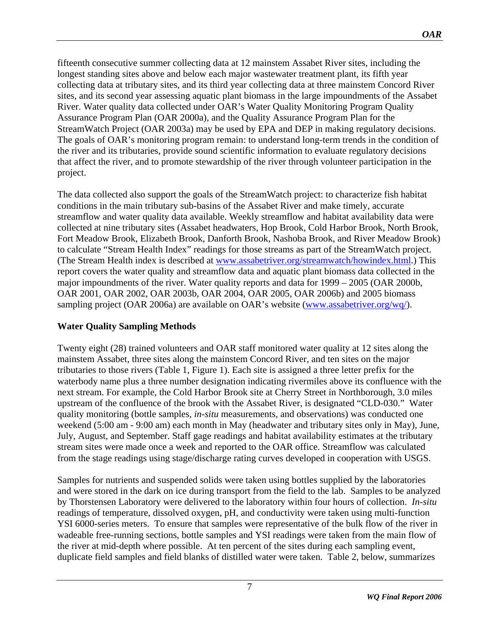<span id="page-6-0"></span>fifteenth consecutive summer collecting data at 12 mainstem Assabet River sites, including the longest standing sites above and below each major wastewater treatment plant, its fifth year collecting data at tributary sites, and its third year collecting data at three mainstem Concord River sites, and its second year assessing aquatic plant biomass in the large impoundments of the Assabet River. Water quality data collected under OAR's Water Quality Monitoring Program Quality Assurance Program Plan (OAR 2000a), and the Quality Assurance Program Plan for the StreamWatch Project (OAR 2003a) may be used by EPA and DEP in making regulatory decisions. The goals of OAR's monitoring program remain: to understand long-term trends in the condition of the river and its tributaries, provide sound scientific information to evaluate regulatory decisions that affect the river, and to promote stewardship of the river through volunteer participation in the project.

The data collected also support the goals of the StreamWatch project: to characterize fish habitat conditions in the main tributary sub-basins of the Assabet River and make timely, accurate streamflow and water quality data available. Weekly streamflow and habitat availability data were collected at nine tributary sites (Assabet headwaters, Hop Brook, Cold Harbor Brook, North Brook, Fort Meadow Brook, Elizabeth Brook, Danforth Brook, Nashoba Brook, and River Meadow Brook) to calculate "Stream Health Index" readings for those streams as part of the StreamWatch project. (The Stream Health index is described at [www.assabetriver.org/streamwatch/howindex.html.](http://www.assabetriver.org/streamwatch/howindex.html)) This report covers the water quality and streamflow data and aquatic plant biomass data collected in the major impoundments of the river. Water quality reports and data for 1999 – 2005 (OAR 2000b, OAR 2001, OAR 2002, OAR 2003b, OAR 2004, OAR 2005, OAR 2006b) and 2005 biomass sampling project (OAR 2006a) are available on OAR's website ([www.assabetriver.org/wq/](http://www.assabetriver.org/wq/)).

### **Water Quality Sampling Methods**

Twenty eight (28) trained volunteers and OAR staff monitored water quality at 12 sites along the mainstem Assabet, three sites along the mainstem Concord River, and ten sites on the major tributaries to those rivers (Table 1, Figure 1). Each site is assigned a three letter prefix for the waterbody name plus a three number designation indicating rivermiles above its confluence with the next stream. For example, the Cold Harbor Brook site at Cherry Street in Northborough, 3.0 miles upstream of the confluence of the brook with the Assabet River, is designated "CLD-030." Water quality monitoring (bottle samples*, in-situ* measurements, and observations) was conducted one weekend (5:00 am - 9:00 am) each month in May (headwater and tributary sites only in May), June, July, August, and September. Staff gage readings and habitat availability estimates at the tributary stream sites were made once a week and reported to the OAR office. Streamflow was calculated from the stage readings using stage/discharge rating curves developed in cooperation with USGS.

Samples for nutrients and suspended solids were taken using bottles supplied by the laboratories and were stored in the dark on ice during transport from the field to the lab. Samples to be analyzed by Thorstensen Laboratory were delivered to the laboratory within four hours of collection. *In-situ* readings of temperature, dissolved oxygen, pH, and conductivity were taken using multi-function YSI 6000-series meters. To ensure that samples were representative of the bulk flow of the river in wadeable free-running sections, bottle samples and YSI readings were taken from the main flow of the river at mid-depth where possible. At ten percent of the sites during each sampling event, duplicate field samples and field blanks of distilled water were taken. [Table 2](#page-10-0), below, summarizes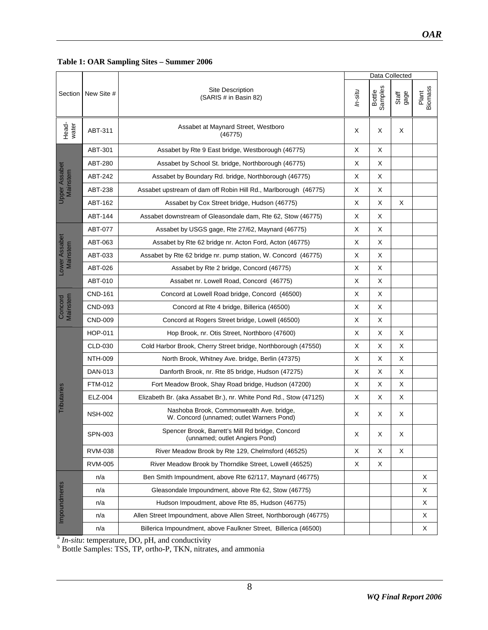### <span id="page-7-0"></span>**Table 1: OAR Sampling Sites – Summer 2006**

|                                  |                |                                                                                       |         | Data Collected    |               |                         |  |
|----------------------------------|----------------|---------------------------------------------------------------------------------------|---------|-------------------|---------------|-------------------------|--|
| Section                          | New Site #     | <b>Site Description</b><br>(SARIS # in Basin 82)                                      | In-situ | Samples<br>Bottle | gage<br>Staff | <b>Biomass</b><br>Plant |  |
| Head-<br>water                   | ABT-311        | Assabet at Maynard Street, Westboro<br>(46775)                                        | X       | X                 | X             |                         |  |
|                                  | ABT-301        | Assabet by Rte 9 East bridge, Westborough (46775)                                     | X       | X                 |               |                         |  |
|                                  | <b>ABT-280</b> | Assabet by School St. bridge, Northborough (46775)                                    | X       | X                 |               |                         |  |
| <b>Upper Assabet</b><br>Mainstem | ABT-242        | Assabet by Boundary Rd. bridge, Northborough (46775)                                  | X       | X                 |               |                         |  |
|                                  | ABT-238        | Assabet upstream of dam off Robin Hill Rd., Marlborough (46775)                       | X       | X                 |               |                         |  |
|                                  | ABT-162        | Assabet by Cox Street bridge, Hudson (46775)                                          | X       | X                 | X             |                         |  |
|                                  | ABT-144        | Assabet downstream of Gleasondale dam, Rte 62, Stow (46775)                           | X       | X                 |               |                         |  |
|                                  | ABT-077        | Assabet by USGS gage, Rte 27/62, Maynard (46775)                                      | X       | X                 |               |                         |  |
| Lower Assabet                    | ABT-063        | Assabet by Rte 62 bridge nr. Acton Ford, Acton (46775)                                | X       | X                 |               |                         |  |
| Mainstem                         | ABT-033        | Assabet by Rte 62 bridge nr. pump station, W. Concord (46775)                         | X       | X                 |               |                         |  |
|                                  | ABT-026        | Assabet by Rte 2 bridge, Concord (46775)                                              | X       | X                 |               |                         |  |
|                                  | ABT-010        | Assabet nr. Lowell Road, Concord (46775)                                              | X       | Χ                 |               |                         |  |
|                                  | CND-161        | Concord at Lowell Road bridge, Concord (46500)                                        | X       | Χ                 |               |                         |  |
| Mainstem<br>Concord              | CND-093        | Concord at Rte 4 bridge, Billerica (46500)                                            | X       | X                 |               |                         |  |
|                                  | CND-009        | Concord at Rogers Street bridge, Lowell (46500)                                       | X       | X                 |               |                         |  |
|                                  | HOP-011        | Hop Brook, nr. Otis Street, Northboro (47600)                                         | X       | X                 | Х             |                         |  |
|                                  | CLD-030        | Cold Harbor Brook, Cherry Street bridge, Northborough (47550)                         | X       | X                 | X             |                         |  |
|                                  | <b>NTH-009</b> | North Brook, Whitney Ave. bridge, Berlin (47375)                                      | X       | X                 | X             |                         |  |
|                                  | DAN-013        | Danforth Brook, nr. Rte 85 bridge, Hudson (47275)                                     | X       | Х                 | Х             |                         |  |
|                                  | FTM-012        | Fort Meadow Brook, Shay Road bridge, Hudson (47200)                                   | Х       | X                 | X             |                         |  |
| <b>Tributaries</b>               | ELZ-004        | Elizabeth Br. (aka Assabet Br.), nr. White Pond Rd., Stow (47125)                     | X       | Χ                 | X             |                         |  |
|                                  | <b>NSH-002</b> | Nashoba Brook, Commonwealth Ave. bridge,<br>W. Concord (unnamed; outlet Warners Pond) | X       | Х                 | Х             |                         |  |
|                                  | SPN-003        | Spencer Brook, Barrett's Mill Rd bridge, Concord<br>(unnamed; outlet Angiers Pond)    | X       | X                 | X             |                         |  |
|                                  | <b>RVM-038</b> | River Meadow Brook by Rte 129, Chelmsford (46525)                                     | X       | X                 | Χ             |                         |  |
|                                  | <b>RVM-005</b> | River Meadow Brook by Thorndike Street, Lowell (46525)                                | Χ       | Χ                 |               |                         |  |
|                                  | n/a            | Ben Smith Impoundment, above Rte 62/117, Maynard (46775)                              |         |                   |               | X                       |  |
|                                  | n/a            | Gleasondale Impoundment, above Rte 62, Stow (46775)                                   |         |                   |               | X                       |  |
|                                  | n/a            | Hudson Impoudment, above Rte 85, Hudson (46775)                                       |         |                   |               | х                       |  |
| Impoundments                     | n/a            | Allen Street Impoundment, above Allen Street, Northborough (46775)                    |         |                   |               | X                       |  |
|                                  | n/a            | Billerica Impoundment, above Faulkner Street, Billerica (46500)                       |         |                   |               | X                       |  |

<sup>a</sup> *In-situ*: temperature, DO, pH, and conductivity<br><sup>b</sup> Bottle Samples: TSS, TP, ortho-P, TKN, nitrates, and ammonia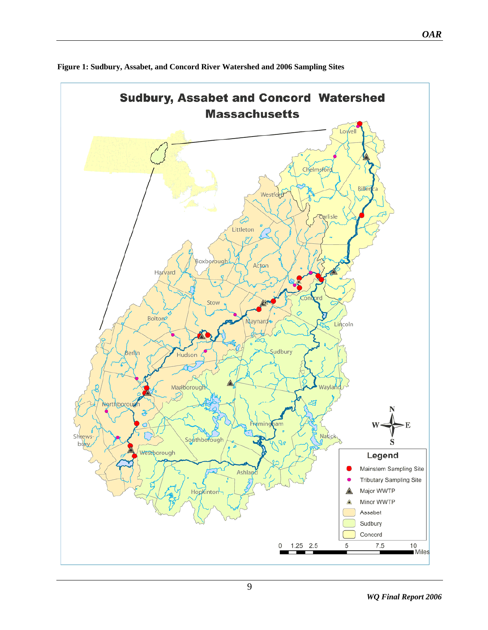

<span id="page-8-0"></span>**Figure 1: Sudbury, Assabet, and Concord River Watershed and 2006 Sampling Sites**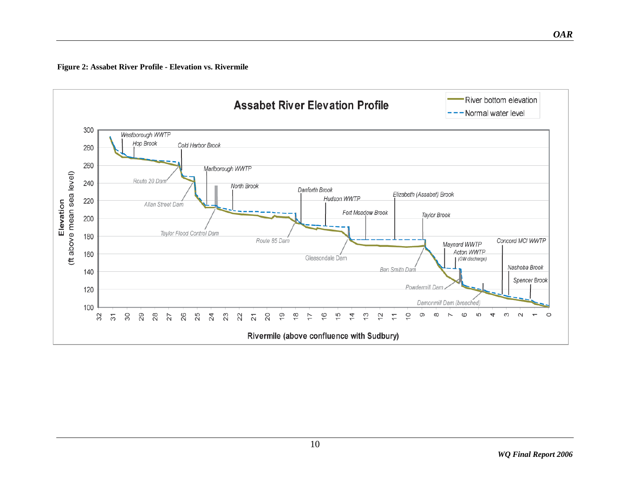**Figure 2: Assabet River Profile - Elevation vs. Rivermile**

<span id="page-9-0"></span>![](_page_9_Figure_1.jpeg)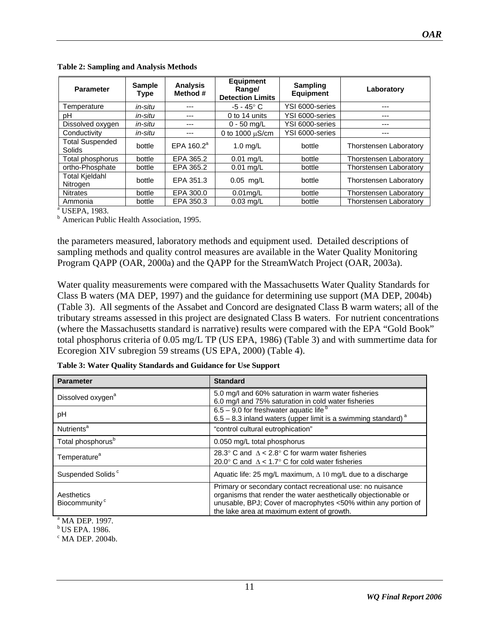| <b>Parameter</b>                  | <b>Sample</b><br><b>Type</b> | <b>Analysis</b><br>Method # | <b>Equipment</b><br>Range/<br><b>Detection Limits</b> | <b>Sampling</b><br><b>Equipment</b> | Laboratory                    |
|-----------------------------------|------------------------------|-----------------------------|-------------------------------------------------------|-------------------------------------|-------------------------------|
| Temperature                       | in-situ                      | ---                         | $-5 - 45^\circ$ C                                     | YSI 6000-series                     | ---                           |
| рH                                | in-situ                      | ---                         | 0 to 14 units                                         | YSI 6000-series                     | ---                           |
| Dissolved oxygen                  | in-situ                      | ---                         | $0 - 50$ ma/L                                         | YSI 6000-series                     | ---                           |
| Conductivity                      | in-situ                      | ---                         | 0 to 1000 $\mu$ S/cm                                  | YSI 6000-series                     | ---                           |
| <b>Total Suspended</b><br>Solids  | bottle                       | $EPA$ 160.2 <sup>a</sup>    | $1.0$ mg/L                                            | bottle                              | <b>Thorstensen Laboratory</b> |
| Total phosphorus                  | bottle                       | EPA 365.2                   | $0.01$ mg/L                                           | bottle                              | <b>Thorstensen Laboratory</b> |
| ortho-Phosphate                   | bottle                       | EPA 365.2                   | $0.01$ mg/L                                           | bottle                              | <b>Thorstensen Laboratory</b> |
| <b>Total Kjeldahl</b><br>Nitrogen | bottle                       | EPA 351.3                   | $0.05$ mg/L                                           | bottle                              | <b>Thorstensen Laboratory</b> |
| <b>Nitrates</b>                   | bottle                       | EPA 300.0                   | $0.01$ mg/L                                           | bottle                              | <b>Thorstensen Laboratory</b> |
| Ammonia                           | bottle                       | EPA 350.3                   | $0.03$ mg/L                                           | bottle                              | Thorstensen Laboratory        |

<span id="page-10-0"></span>**Table 2: Sampling and Analysis Methods** 

<sup>a</sup> USEPA, 1983.

<sup>b</sup> American Public Health Association, 1995.

the parameters measured, laboratory methods and equipment used. Detailed descriptions of sampling methods and quality control measures are available in the Water Quality Monitoring Program QAPP (OAR, 2000a) and the QAPP for the StreamWatch Project (OAR, 2003a).

Water quality measurements were compared with the Massachusetts Water Quality Standards for Class B waters (MA DEP, 1997) and the guidance for determining use support (MA DEP, 2004b) (Table 3). All segments of the Assabet and Concord are designated Class B warm waters; all of the tributary streams assessed in this project are designated Class B waters. For nutrient concentrations (where the Massachusetts standard is narrative) results were compared with the EPA "Gold Book" total phosphorus criteria of 0.05 mg/L TP (US EPA, 1986) (Table 3) and with summertime data for Ecoregion XIV subregion 59 streams (US EPA, 2000) (Table 4).

| <b>Parameter</b>                        | <b>Standard</b>                                                                                                                                                                                                                              |
|-----------------------------------------|----------------------------------------------------------------------------------------------------------------------------------------------------------------------------------------------------------------------------------------------|
| Dissolved oxygen <sup>a</sup>           | 5.0 mg/l and 60% saturation in warm water fisheries<br>6.0 mg/l and 75% saturation in cold water fisheries                                                                                                                                   |
| рH                                      | $6.5 - 9.0$ for freshwater aquatic life $b$<br>$6.5 - 8.3$ inland waters (upper limit is a swimming standard) <sup>a</sup>                                                                                                                   |
| Nutrients <sup>a</sup>                  | "control cultural eutrophication"                                                                                                                                                                                                            |
| Total phosphorus <sup>b</sup>           | 0.050 mg/L total phosphorus                                                                                                                                                                                                                  |
| Temperature <sup>a</sup>                | 28.3° C and $\Delta < 2.8$ ° C for warm water fisheries<br>20.0° C and $\Lambda$ < 1.7° C for cold water fisheries                                                                                                                           |
| Suspended Solids <sup>c</sup>           | Aquatic life: 25 mg/L maximum, $\Delta$ 10 mg/L due to a discharge                                                                                                                                                                           |
| Aesthetics<br>Biocommunity <sup>c</sup> | Primary or secondary contact recreational use: no nuisance<br>organisms that render the water aesthetically objectionable or<br>unusable, BPJ; Cover of macrophytes <50% within any portion of<br>the lake area at maximum extent of growth. |

**Table 3: Water Quality Standards and Guidance for Use Support** 

a MA DEP. 1997.

b US EPA. 1986.

 $\rm ^{c}$  MA DEP. 2004b.

11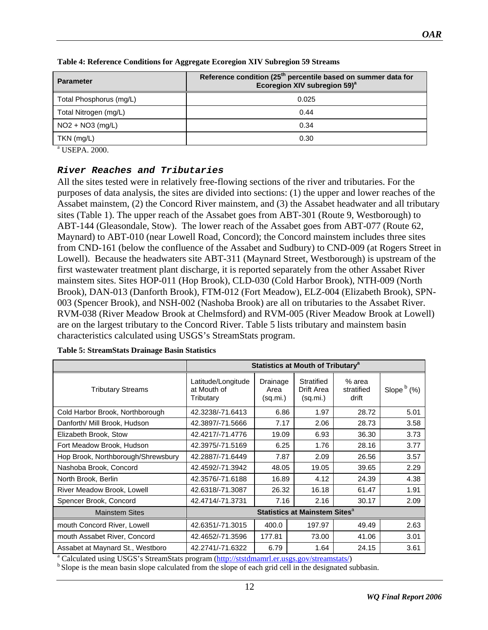| <b>Parameter</b>        | Reference condition (25 <sup>th</sup> percentile based on summer data for<br>Ecoregion XIV subregion 59) <sup>a</sup> |
|-------------------------|-----------------------------------------------------------------------------------------------------------------------|
| Total Phosphorus (mg/L) | 0.025                                                                                                                 |
| Total Nitrogen (mg/L)   | 0.44                                                                                                                  |
| $NO2 + NO3 (mg/L)$      | 0.34                                                                                                                  |
| $TKN$ (mg/L)            | 0.30                                                                                                                  |
|                         |                                                                                                                       |

<span id="page-11-0"></span>

| Table 4: Reference Conditions for Aggregate Ecoregion XIV Subregion 59 Streams |  |  |
|--------------------------------------------------------------------------------|--|--|
|                                                                                |  |  |

a USEPA. 2000.

#### *River Reaches and Tributaries*

All the sites tested were in relatively free-flowing sections of the river and tributaries. For the purposes of data analysis, the sites are divided into sections: (1) the upper and lower reaches of the Assabet mainstem, (2) the Concord River mainstem, and (3) the Assabet headwater and all tributary sites (Table 1). The upper reach of the Assabet goes from ABT-301 (Route 9, Westborough) to ABT-144 (Gleasondale, Stow). The lower reach of the Assabet goes from ABT-077 (Route 62, Maynard) to ABT-010 (near Lowell Road, Concord); the Concord mainstem includes three sites from CND-161 (below the confluence of the Assabet and Sudbury) to CND-009 (at Rogers Street in Lowell). Because the headwaters site ABT-311 (Maynard Street, Westborough) is upstream of the first wastewater treatment plant discharge, it is reported separately from the other Assabet River mainstem sites. Sites HOP-011 (Hop Brook), CLD-030 (Cold Harbor Brook), NTH-009 (North Brook), DAN-013 (Danforth Brook), FTM-012 (Fort Meadow), ELZ-004 (Elizabeth Brook), SPN-003 (Spencer Brook), and NSH-002 (Nashoba Brook) are all on tributaries to the Assabet River. RVM-038 (River Meadow Brook at Chelmsford) and RVM-005 (River Meadow Brook at Lowell) are on the largest tributary to the Concord River. Table 5 lists tributary and mainstem basin characteristics calculated using USGS's StreamStats program.

|                                    | <b>Statistics at Mouth of Tributary<sup>a</sup></b> |                              |                                      |                               |               |
|------------------------------------|-----------------------------------------------------|------------------------------|--------------------------------------|-------------------------------|---------------|
| <b>Tributary Streams</b>           | Latitude/Longitude<br>at Mouth of<br>Tributary      | Drainage<br>Area<br>(sq.mi.) | Stratified<br>Drift Area<br>(sq.mi.) | % area<br>stratified<br>drift | Slope $b$ (%) |
| Cold Harbor Brook, Northborough    | 42.3238/-71.6413                                    | 6.86                         | 1.97                                 | 28.72                         | 5.01          |
| Danforth/ Mill Brook, Hudson       | 42.3897/-71.5666                                    | 7.17                         | 2.06                                 | 28.73                         | 3.58          |
| Elizabeth Brook, Stow              | 42.4217/-71.4776                                    | 19.09                        | 6.93                                 | 36.30                         | 3.73          |
| Fort Meadow Brook, Hudson          | 42.3975/-71.5169                                    | 6.25                         | 1.76                                 | 28.16                         | 3.77          |
| Hop Brook, Northborough/Shrewsbury | 42.2887/-71.6449                                    | 7.87                         | 2.09                                 | 26.56                         | 3.57          |
| Nashoba Brook, Concord             | 42.4592/-71.3942                                    | 48.05                        | 19.05                                | 39.65                         | 2.29          |
| North Brook, Berlin                | 42.3576/-71.6188                                    | 16.89                        | 4.12                                 | 24.39                         | 4.38          |
| River Meadow Brook, Lowell         | 42.6318/-71.3087                                    | 26.32                        | 16.18                                | 61.47                         | 1.91          |
| Spencer Brook, Concord             | 42.4714/-71.3731                                    | 7.16                         | 2.16                                 | 30.17                         | 2.09          |
| <b>Mainstem Sites</b>              | Statistics at Mainstem Sites <sup>a</sup>           |                              |                                      |                               |               |
| mouth Concord River, Lowell        | 42.6351/-71.3015                                    | 400.0                        | 197.97                               | 49.49                         | 2.63          |
| mouth Assabet River, Concord       | 42.4652/-71.3596                                    | 177.81                       | 73.00                                | 41.06                         | 3.01          |
| Assabet at Maynard St., Westboro   | 42.2741/-71.6322                                    | 6.79                         | 1.64                                 | 24.15                         | 3.61          |

| <b>Table 5: StreamStats Drainage Basin Statistics</b> |  |  |
|-------------------------------------------------------|--|--|
|                                                       |  |  |

<sup>a</sup> Calculated using USGS's StreamStats program (http://ststdmamrl.er.usgs.gov/streamstats/)

 $<sup>b</sup>$  Slope is the mean basin slope calculated from th[e slope of each grid cell in the designated](http://ststdmamrl.er.usgs.gov/streamstats/) subbasin.</sup>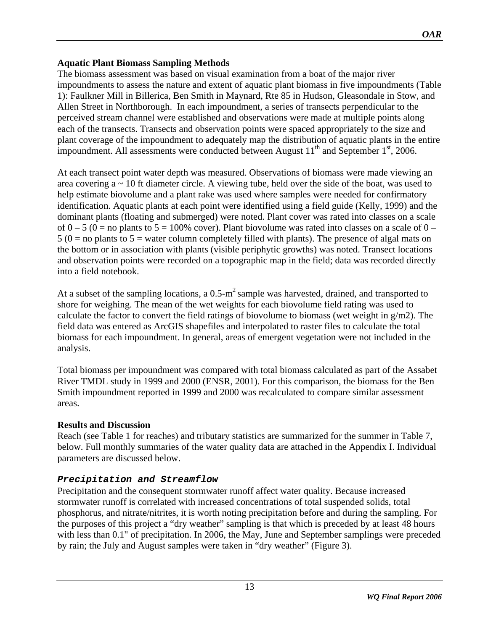# <span id="page-12-0"></span>**Aquatic Plant Biomass Sampling Methods**

The biomass assessment was based on visual examination from a boat of the major river impoundments to assess the nature and extent of aquatic plant biomass in five impoundments (Table 1): Faulkner Mill in Billerica, Ben Smith in Maynard, Rte 85 in Hudson, Gleasondale in Stow, and Allen Street in Northborough. In each impoundment, a series of transects perpendicular to the perceived stream channel were established and observations were made at multiple points along each of the transects. Transects and observation points were spaced appropriately to the size and plant coverage of the impoundment to adequately map the distribution of aquatic plants in the entire impoundment. All assessments were conducted between August  $11<sup>th</sup>$  and September  $1<sup>st</sup>$ , 2006.

At each transect point water depth was measured. Observations of biomass were made viewing an area covering a ~ 10 ft diameter circle. A viewing tube, held over the side of the boat, was used to help estimate biovolume and a plant rake was used where samples were needed for confirmatory identification. Aquatic plants at each point were identified using a field guide (Kelly, 1999) and the dominant plants (floating and submerged) were noted. Plant cover was rated into classes on a scale of  $0 - 5$  ( $0 =$  no plants to  $5 = 100\%$  cover). Plant biovolume was rated into classes on a scale of  $0 5 (0 = no$  plants to  $5 =$  water column completely filled with plants). The presence of algal mats on the bottom or in association with plants (visible periphytic growths) was noted. Transect locations and observation points were recorded on a topographic map in the field; data was recorded directly into a field notebook.

At a subset of the sampling locations, a  $0.5-m^2$  sample was harvested, drained, and transported to shore for weighing. The mean of the wet weights for each biovolume field rating was used to calculate the factor to convert the field ratings of biovolume to biomass (wet weight in  $g/m2$ ). The field data was entered as ArcGIS shapefiles and interpolated to raster files to calculate the total biomass for each impoundment. In general, areas of emergent vegetation were not included in the analysis.

Total biomass per impoundment was compared with total biomass calculated as part of the Assabet River TMDL study in 1999 and 2000 (ENSR, 2001). For this comparison, the biomass for the Ben Smith impoundment reported in 1999 and 2000 was recalculated to compare similar assessment areas.

# **Results and Discussion**

Reach (see Table 1 for reaches) and tributary statistics are summarized for the summer in Table 7, below. Full monthly summaries of the water quality data are attached in the Appendix I. Individual parameters are discussed below.

# *Precipitation and Streamflow*

Precipitation and the consequent stormwater runoff affect water quality. Because increased stormwater runoff is correlated with increased concentrations of total suspended solids, total phosphorus, and nitrate/nitrites, it is worth noting precipitation before and during the sampling. For the purposes of this project a "dry weather" sampling is that which is preceded by at least 48 hours with less than 0.1" of precipitation. In 2006, the May, June and September samplings were preceded by rain; the July and August samples were taken in "dry weather" (Figure 3).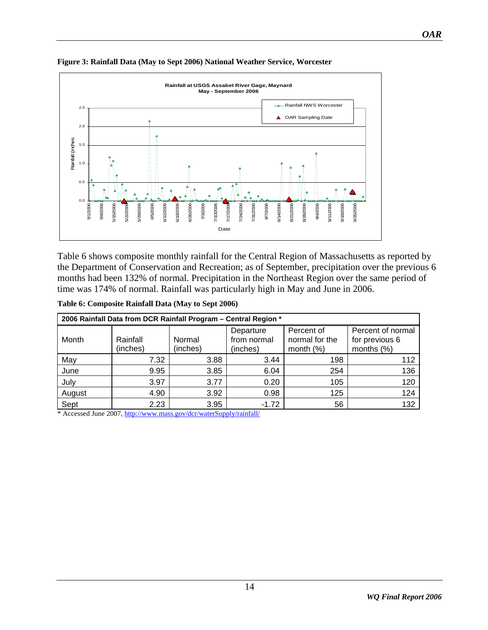![](_page_13_Figure_1.jpeg)

### <span id="page-13-0"></span>**Figure 3: Rainfall Data (May to Sept 2006) National Weather Service, Worcester**

[Table 6](#page-13-0) shows composite monthly rainfall for the Central Region of Massachusetts as reported by the Department of Conservation and Recreation; as of September, precipitation over the previous 6 months had been 132% of normal. Precipitation in the Northeast Region over the same period of time was 174% of normal. Rainfall was particularly high in May and June in 2006.

| Table 6: Composite Rainfall Data (May to Sept 2006) |
|-----------------------------------------------------|
|-----------------------------------------------------|

| 2006 Rainfall Data from DCR Rainfall Program - Central Region * |          |          |             |                |                   |  |
|-----------------------------------------------------------------|----------|----------|-------------|----------------|-------------------|--|
|                                                                 |          |          | Departure   | Percent of     | Percent of normal |  |
| Month                                                           | Rainfall | Normal   | from normal | normal for the | for previous 6    |  |
|                                                                 | (inches) | (inches) | (inches)    | month $(\%)$   | months $(\%)$     |  |
| May                                                             | 7.32     | 3.88     | 3.44        | 198            | 112               |  |
| June                                                            | 9.95     | 3.85     | 6.04        | 254            | 136               |  |
| July                                                            | 3.97     | 3.77     | 0.20        | 105            | 120               |  |
| August                                                          | 4.90     | 3.92     | 0.98        | 125            | 124               |  |
| Sept                                                            | 2.23     | 3.95     | $-1.72$     | 56             | 132               |  |

\* Accessed June 2007,<http://www.mass.gov/dcr/waterSupply/rainfall/>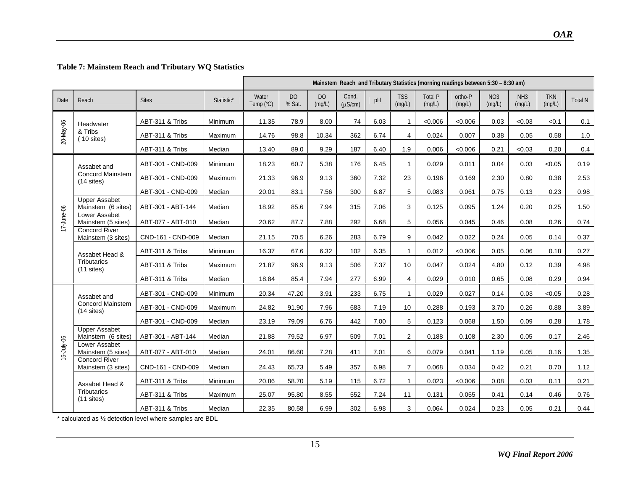#### **Table 7: Mainstem Reach and Tributary WQ Statistics**

|               |                                            |                   |            | Mainstem Reach and Tributary Statistics (morning readings between 5:30 - 8:30 am) |                          |                          |                       |      |                      |                   |                   |                           |                           |                      |                |
|---------------|--------------------------------------------|-------------------|------------|-----------------------------------------------------------------------------------|--------------------------|--------------------------|-----------------------|------|----------------------|-------------------|-------------------|---------------------------|---------------------------|----------------------|----------------|
| Date          | Reach                                      | <b>Sites</b>      | Statistic* | Water<br>Temp (°C)                                                                | D <sub>O</sub><br>% Sat. | D <sub>O</sub><br>(mg/L) | Cond.<br>$(\mu S/cm)$ | pH   | <b>TSS</b><br>(mg/L) | Total P<br>(mg/L) | ortho-P<br>(mg/L) | NO <sub>3</sub><br>(mg/L) | NH <sub>3</sub><br>(mg/L) | <b>TKN</b><br>(mg/L) | <b>Total N</b> |
|               | Headwater                                  | ABT-311 & Tribs   | Minimum    | 11.35                                                                             | 78.9                     | 8.00                     | 74                    | 6.03 | $\mathbf{1}$         | < 0.006           | < 0.006           | 0.03                      | < 0.03                    | < 0.1                | 0.1            |
| 20-May-06     | & Tribs<br>$(10$ sites)                    | ABT-311 & Tribs   | Maximum    | 14.76                                                                             | 98.8                     | 10.34                    | 362                   | 6.74 | $\overline{4}$       | 0.024             | 0.007             | 0.38                      | 0.05                      | 0.58                 | 1.0            |
|               |                                            | ABT-311 & Tribs   | Median     | 13.40                                                                             | 89.0                     | 9.29                     | 187                   | 6.40 | 1.9                  | 0.006             | &0.006            | 0.21                      | < 0.03                    | 0.20                 | 0.4            |
|               | Assabet and                                | ABT-301 - CND-009 | Minimum    | 18.23                                                                             | 60.7                     | 5.38                     | 176                   | 6.45 | $\mathbf{1}$         | 0.029             | 0.011             | 0.04                      | 0.03                      | < 0.05               | 0.19           |
|               | <b>Concord Mainstem</b><br>$(14$ sites)    | ABT-301 - CND-009 | Maximum    | 21.33                                                                             | 96.9                     | 9.13                     | 360                   | 7.32 | 23                   | 0.196             | 0.169             | 2.30                      | 0.80                      | 0.38                 | 2.53           |
|               |                                            | ABT-301 - CND-009 | Median     | 20.01                                                                             | 83.1                     | 7.56                     | 300                   | 6.87 | 5                    | 0.083             | 0.061             | 0.75                      | 0.13                      | 0.23                 | 0.98           |
|               | <b>Upper Assabet</b><br>Mainstem (6 sites) | ABT-301 - ABT-144 | Median     | 18.92                                                                             | 85.6                     | 7.94                     | 315                   | 7.06 | 3                    | 0.125             | 0.095             | 1.24                      | 0.20                      | 0.25                 | 1.50           |
| 17-June-06    | Lower Assabet<br>Mainstem (5 sites)        | ABT-077 - ABT-010 | Median     | 20.62                                                                             | 87.7                     | 7.88                     | 292                   | 6.68 | 5                    | 0.056             | 0.045             | 0.46                      | 0.08                      | 0.26                 | 0.74           |
|               | <b>Concord River</b><br>Mainstem (3 sites) | CND-161 - CND-009 | Median     | 21.15                                                                             | 70.5                     | 6.26                     | 283                   | 6.79 | 9                    | 0.042             | 0.022             | 0.24                      | 0.05                      | 0.14                 | 0.37           |
|               | Assabet Head &                             | ABT-311 & Tribs   | Minimum    | 16.37                                                                             | 67.6                     | 6.32                     | 102                   | 6.35 | $\mathbf{1}$         | 0.012             | < 0.006           | 0.05                      | 0.06                      | 0.18                 | 0.27           |
|               | <b>Tributaries</b><br>$(11$ sites)         | ABT-311 & Tribs   | Maximum    | 21.87                                                                             | 96.9                     | 9.13                     | 506                   | 7.37 | 10                   | 0.047             | 0.024             | 4.80                      | 0.12                      | 0.39                 | 4.98           |
|               |                                            | ABT-311 & Tribs   | Median     | 18.84                                                                             | 85.4                     | 7.94                     | 277                   | 6.99 | 4                    | 0.029             | 0.010             | 0.65                      | 0.08                      | 0.29                 | 0.94           |
|               | Assabet and                                | ABT-301 - CND-009 | Minimum    | 20.34                                                                             | 47.20                    | 3.91                     | 233                   | 6.75 | $\mathbf 1$          | 0.029             | 0.027             | 0.14                      | 0.03                      | < 0.05               | 0.28           |
|               | <b>Concord Mainstem</b><br>$(14$ sites)    | ABT-301 - CND-009 | Maximum    | 24.82                                                                             | 91.90                    | 7.96                     | 683                   | 7.19 | 10                   | 0.288             | 0.193             | 3.70                      | 0.26                      | 0.88                 | 3.89           |
|               |                                            | ABT-301 - CND-009 | Median     | 23.19                                                                             | 79.09                    | 6.76                     | 442                   | 7.00 | 5                    | 0.123             | 0.068             | 1.50                      | 0.09                      | 0.28                 | 1.78           |
|               | <b>Upper Assabet</b><br>Mainstem (6 sites) | ABT-301 - ABT-144 | Median     | 21.88                                                                             | 79.52                    | 6.97                     | 509                   | 7.01 | $\overline{2}$       | 0.188             | 0.108             | 2.30                      | 0.05                      | 0.17                 | 2.46           |
| $15$ -July-06 | Lower Assabet<br>Mainstem (5 sites)        | ABT-077 - ABT-010 | Median     | 24.01                                                                             | 86.60                    | 7.28                     | 411                   | 7.01 | 6                    | 0.079             | 0.041             | 1.19                      | 0.05                      | 0.16                 | 1.35           |
|               | <b>Concord River</b><br>Mainstem (3 sites) | CND-161 - CND-009 | Median     | 24.43                                                                             | 65.73                    | 5.49                     | 357                   | 6.98 | $\overline{7}$       | 0.068             | 0.034             | 0.42                      | 0.21                      | 0.70                 | 1.12           |
|               | Assabet Head &                             | ABT-311 & Tribs   | Minimum    | 20.86                                                                             | 58.70                    | 5.19                     | 115                   | 6.72 | $\mathbf{1}$         | 0.023             | < 0.006           | 0.08                      | 0.03                      | 0.11                 | 0.21           |
|               | Tributaries<br>$(11$ sites)                | ABT-311 & Tribs   | Maximum    | 25.07                                                                             | 95.80                    | 8.55                     | 552                   | 7.24 | 11                   | 0.131             | 0.055             | 0.41                      | 0.14                      | 0.46                 | 0.76           |
|               |                                            | ABT-311 & Tribs   | Median     | 22.35                                                                             | 80.58                    | 6.99                     | 302                   | 6.98 | 3                    | 0.064             | 0.024             | 0.23                      | 0.05                      | 0.21                 | 0.44           |

<span id="page-14-0"></span>\* calculated as ½ detection level where samples are BDL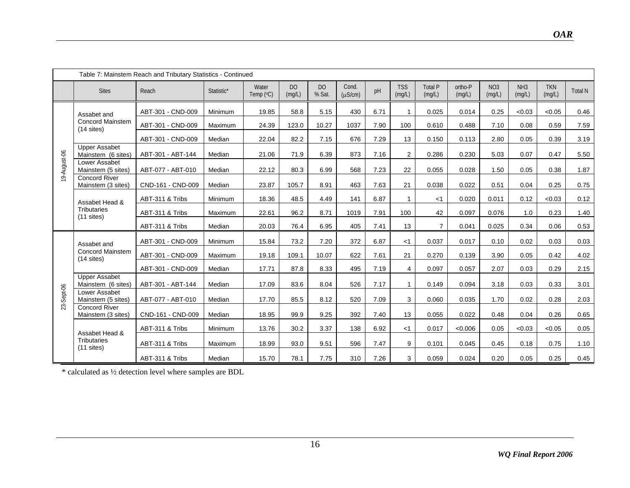|              |                                            | Table 7: Mainstem Reach and Tributary Statistics - Continued |            |                    |              |              |                       |      |                      |                          |                   |                           |                           |                      |         |
|--------------|--------------------------------------------|--------------------------------------------------------------|------------|--------------------|--------------|--------------|-----------------------|------|----------------------|--------------------------|-------------------|---------------------------|---------------------------|----------------------|---------|
|              | <b>Sites</b>                               | Reach                                                        | Statistic* | Water<br>Temp (°C) | DO<br>(mg/L) | DO<br>% Sat. | Cond.<br>$(\mu S/cm)$ | pH   | <b>TSS</b><br>(mg/L) | <b>Total P</b><br>(mg/L) | ortho-P<br>(mg/L) | NO <sub>3</sub><br>(mg/L) | NH <sub>3</sub><br>(mg/L) | <b>TKN</b><br>(mg/L) | Total N |
|              | Assabet and                                | ABT-301 - CND-009                                            | Minimum    | 19.85              | 58.8         | 5.15         | 430                   | 6.71 | $\mathbf{1}$         | 0.025                    | 0.014             | 0.25                      | < 0.03                    | < 0.05               | 0.46    |
|              | <b>Concord Mainstem</b><br>$(14$ sites)    | ABT-301 - CND-009                                            | Maximum    | 24.39              | 123.0        | 10.27        | 1037                  | 7.90 | 100                  | 0.610                    | 0.488             | 7.10                      | 0.08                      | 0.59                 | 7.59    |
|              |                                            | ABT-301 - CND-009                                            | Median     | 22.04              | 82.2         | 7.15         | 676                   | 7.29 | 13                   | 0.150                    | 0.113             | 2.80                      | 0.05                      | 0.39                 | 3.19    |
|              | <b>Upper Assabet</b><br>Mainstem (6 sites) | ABT-301 - ABT-144                                            | Median     | 21.06              | 71.9         | 6.39         | 873                   | 7.16 | $\overline{2}$       | 0.286                    | 0.230             | 5.03                      | 0.07                      | 0.47                 | 5.50    |
| 19-August-06 | Lower Assabet<br>Mainstem (5 sites)        | ABT-077 - ABT-010                                            | Median     | 22.12              | 80.3         | 6.99         | 568                   | 7.23 | 22                   | 0.055                    | 0.028             | 1.50                      | 0.05                      | 0.38                 | 1.87    |
|              | <b>Concord River</b><br>Mainstem (3 sites) | CND-161 - CND-009                                            | Median     | 23.87              | 105.7        | 8.91         | 463                   | 7.63 | 21                   | 0.038                    | 0.022             | 0.51                      | 0.04                      | 0.25                 | 0.75    |
|              | Assabet Head &                             | ABT-311 & Tribs                                              | Minimum    | 18.36              | 48.5         | 4.49         | 141                   | 6.87 | $\mathbf{1}$         | $<$ 1                    | 0.020             | 0.011                     | 0.12                      | < 0.03               | 0.12    |
|              | Tributaries<br>$(11$ sites)                | ABT-311 & Tribs                                              | Maximum    | 22.61              | 96.2         | 8.71         | 1019                  | 7.91 | 100                  | 42                       | 0.097             | 0.076                     | 1.0                       | 0.23                 | 1.40    |
|              |                                            | ABT-311 & Tribs                                              | Median     | 20.03              | 76.4         | 6.95         | 405                   | 7.41 | 13                   | $\overline{7}$           | 0.041             | 0.025                     | 0.34                      | 0.06                 | 0.53    |
|              | Assabet and                                | ABT-301 - CND-009                                            | Minimum    | 15.84              | 73.2         | 7.20         | 372                   | 6.87 | <1                   | 0.037                    | 0.017             | 0.10                      | 0.02                      | 0.03                 | 0.03    |
|              | <b>Concord Mainstem</b><br>$(14$ sites)    | ABT-301 - CND-009                                            | Maximum    | 19.18              | 109.1        | 10.07        | 622                   | 7.61 | 21                   | 0.270                    | 0.139             | 3.90                      | 0.05                      | 0.42                 | 4.02    |
|              |                                            | ABT-301 - CND-009                                            | Median     | 17.71              | 87.8         | 8.33         | 495                   | 7.19 | 4                    | 0.097                    | 0.057             | 2.07                      | 0.03                      | 0.29                 | 2.15    |
|              | <b>Upper Assabet</b><br>Mainstem (6 sites) | ABT-301 - ABT-144                                            | Median     | 17.09              | 83.6         | 8.04         | 526                   | 7.17 | $\mathbf{1}$         | 0.149                    | 0.094             | 3.18                      | 0.03                      | 0.33                 | 3.01    |
| 23-Sept-06   | Lower Assabet<br>Mainstem (5 sites)        | ABT-077 - ABT-010                                            | Median     | 17.70              | 85.5         | 8.12         | 520                   | 7.09 | 3                    | 0.060                    | 0.035             | 1.70                      | 0.02                      | 0.28                 | 2.03    |
|              | <b>Concord River</b><br>Mainstem (3 sites) | CND-161 - CND-009                                            | Median     | 18.95              | 99.9         | 9.25         | 392                   | 7.40 | 13                   | 0.055                    | 0.022             | 0.48                      | 0.04                      | 0.26                 | 0.65    |
|              | Assabet Head &                             | ABT-311 & Tribs                                              | Minimum    | 13.76              | 30.2         | 3.37         | 138                   | 6.92 | < 1                  | 0.017                    | &0.006            | 0.05                      | < 0.03                    | < 0.05               | 0.05    |
|              | Tributaries<br>$(11$ sites)                | ABT-311 & Tribs                                              | Maximum    | 18.99              | 93.0         | 9.51         | 596                   | 7.47 | 9                    | 0.101                    | 0.045             | 0.45                      | 0.18                      | 0.75                 | 1.10    |
|              |                                            | ABT-311 & Tribs                                              | Median     | 15.70              | 78.1         | 7.75         | 310                   | 7.26 | 3                    | 0.059                    | 0.024             | 0.20                      | 0.05                      | 0.25                 | 0.45    |

 $\ast$  calculated as  $\frac{1}{2}$  detection level where samples are BDL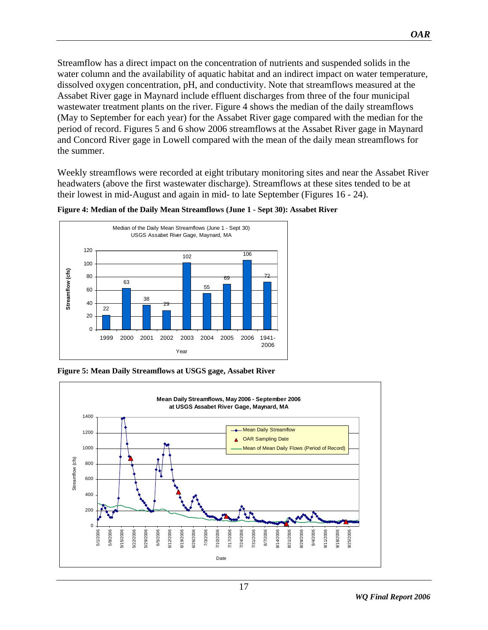<span id="page-16-0"></span>Streamflow has a direct impact on the concentration of nutrients and suspended solids in the water column and the availability of aquatic habitat and an indirect impact on water temperature, dissolved oxygen concentration, pH, and conductivity. Note that streamflows measured at the Assabet River gage in Maynard include effluent discharges from three of the four municipal wastewater treatment plants on the river. Figure 4 shows the median of the daily streamflows (May to September for each year) for the Assabet River gage compared with the median for the period of record. Figures 5 and 6 show 2006 streamflows at the Assabet River gage in Maynard and Concord River gage in Lowell compared with the mean of the daily mean streamflows for the summer.

Weekly streamflows were recorded at eight tributary monitoring sites and near the Assabet River headwaters (above the first wastewater discharge). Streamflows at these sites tended to be at their lowest in mid-August and again in mid- to late September (Figures 16 - 24).

![](_page_16_Figure_2.jpeg)

**Figure 4: Median of the Daily Mean Streamflows (June 1 - Sept 30): Assabet River** 

**Figure 5: Mean Daily Streamflows at USGS gage, Assabet River** 

![](_page_16_Figure_5.jpeg)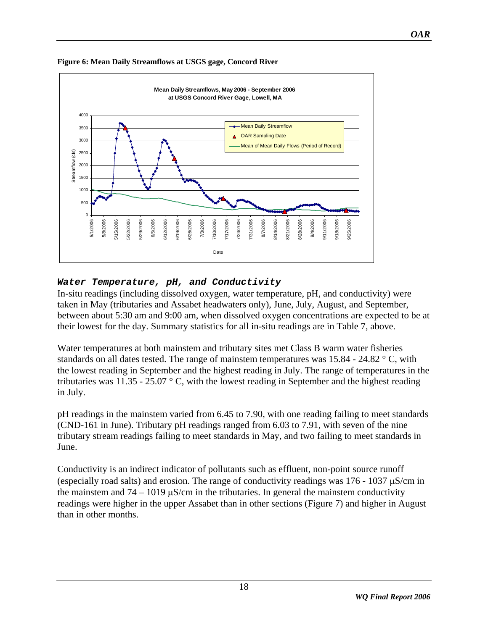![](_page_17_Figure_0.jpeg)

<span id="page-17-0"></span>**Figure 6: Mean Daily Streamflows at USGS gage, Concord River** 

### *Water Temperature, pH, and Conductivity*

In-situ readings (including dissolved oxygen, water temperature, pH, and conductivity) were taken in May (tributaries and Assabet headwaters only), June, July, August, and September, between about 5:30 am and 9:00 am, when dissolved oxygen concentrations are expected to be at their lowest for the day. Summary statistics for all in-situ readings are in Table 7, above.

Water temperatures at both mainstem and tributary sites met Class B warm water fisheries standards on all dates tested. The range of mainstem temperatures was 15.84 - 24.82 ° C, with the lowest reading in September and the highest reading in July. The range of temperatures in the tributaries was  $11.35 - 25.07$  ° C, with the lowest reading in September and the highest reading in July.

pH readings in the mainstem varied from 6.45 to 7.90, with one reading failing to meet standards (CND-161 in June). Tributary pH readings ranged from 6.03 to 7.91, with seven of the nine tributary stream readings failing to meet standards in May, and two failing to meet standards in June.

Conductivity is an indirect indicator of pollutants such as effluent, non-point source runoff (especially road salts) and erosion. The range of conductivity readings was 176 - 1037 μS/cm in the mainstem and  $74 - 1019 \mu S/cm$  in the tributaries. In general the mainstem conductivity readings were higher in the upper Assabet than in other sections (Figure 7) and higher in August than in other months.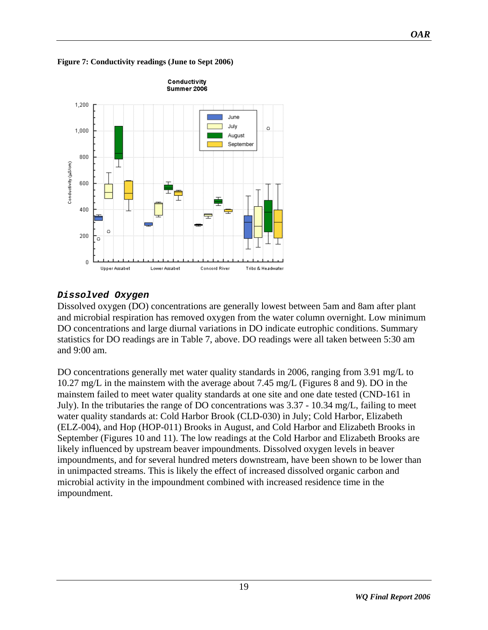![](_page_18_Figure_0.jpeg)

<span id="page-18-0"></span>**Figure 7: Conductivity readings (June to Sept 2006)** 

### *Dissolved Oxygen*

**Upper Assabet** 

Lower Assabet

 $\bar{0}$ 

Conductivity (µS/cm)

Dissolved oxygen (DO) concentrations are generally lowest between 5am and 8am after plant and microbial respiration has removed oxygen from the water column overnight. Low minimum DO concentrations and large diurnal variations in DO indicate eutrophic conditions. Summary statistics for DO readings are in [Table 7,](#page-14-0) above. DO readings were all taken between 5:30 am and 9:00 am.

Tribs & Headwater

Concord River

DO concentrations generally met water quality standards in 2006, ranging from 3.91 mg/L to 10.27 mg/L in the mainstem with the average about 7.45 mg/L (Figures 8 and 9). DO in the mainstem failed to meet water quality standards at one site and one date tested (CND-161 in July). In the tributaries the range of DO concentrations was 3.37 - 10.34 mg/L, failing to meet water quality standards at: Cold Harbor Brook (CLD-030) in July; Cold Harbor, Elizabeth (ELZ-004), and Hop (HOP-011) Brooks in August, and Cold Harbor and Elizabeth Brooks in September (Figures 10 and 11). The low readings at the Cold Harbor and Elizabeth Brooks are likely influenced by upstream beaver impoundments. Dissolved oxygen levels in beaver impoundments, and for several hundred meters downstream, have been shown to be lower than in unimpacted streams. This is likely the effect of increased dissolved organic carbon and microbial activity in the impoundment combined with increased residence time in the impoundment.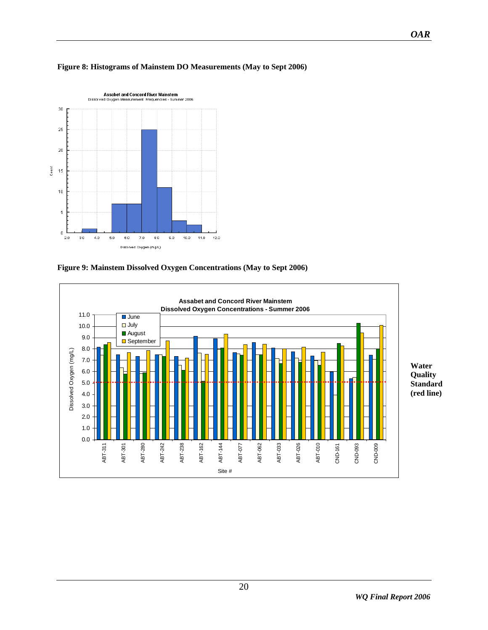![](_page_19_Figure_0.jpeg)

#### <span id="page-19-0"></span>**Figure 8: Histograms of Mainstem DO Measurements (May to Sept 2006)**

**Figure 9: Mainstem Dissolved Oxygen Concentrations (May to Sept 2006)** 

![](_page_19_Figure_3.jpeg)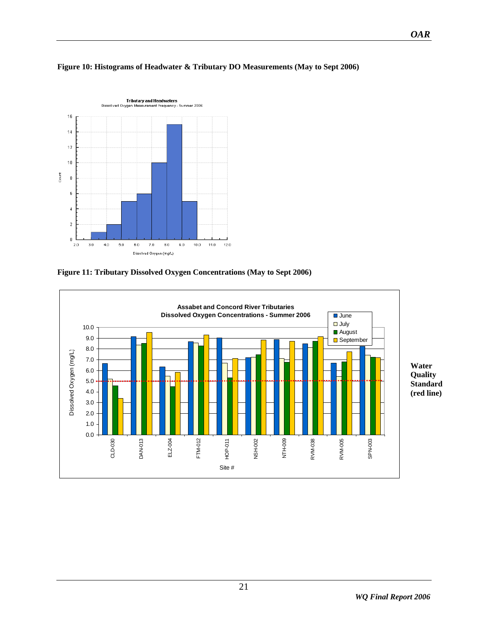![](_page_20_Figure_0.jpeg)

#### <span id="page-20-0"></span>**Figure 10: Histograms of Headwater & Tributary DO Measurements (May to Sept 2006)**

**Figure 11: Tributary Dissolved Oxygen Concentrations (May to Sept 2006)** 

![](_page_20_Figure_3.jpeg)

*OAR*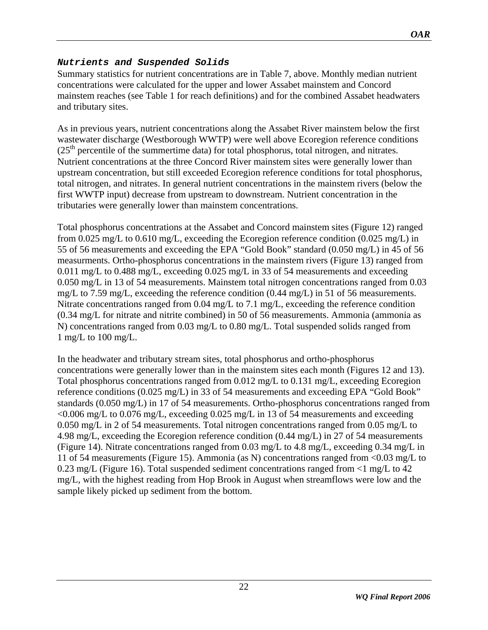### <span id="page-21-0"></span>*Nutrients and Suspended Solids*

Summary statistics for nutrient concentrations are in Table 7, above. Monthly median nutrient concentrations were calculated for the upper and lower Assabet mainstem and Concord mainstem reaches (see Table 1 for reach definitions) and for the combined Assabet headwaters and tributary sites.

As in previous years, nutrient concentrations along the Assabet River mainstem below the first wastewater discharge (Westborough WWTP) were well above Ecoregion reference conditions  $(25<sup>th</sup>$  percentile of the summertime data) for total phosphorus, total nitrogen, and nitrates. Nutrient concentrations at the three Concord River mainstem sites were generally lower than upstream concentration, but still exceeded Ecoregion reference conditions for total phosphorus, total nitrogen, and nitrates. In general nutrient concentrations in the mainstem rivers (below the first WWTP input) decrease from upstream to downstream. Nutrient concentration in the tributaries were generally lower than mainstem concentrations.

Total phosphorus concentrations at the Assabet and Concord mainstem sites (Figure 12) ranged from 0.025 mg/L to 0.610 mg/L, exceeding the Ecoregion reference condition (0.025 mg/L) in 55 of 56 measurements and exceeding the EPA "Gold Book" standard (0.050 mg/L) in 45 of 56 measurments. Ortho-phosphorus concentrations in the mainstem rivers (Figure 13) ranged from 0.011 mg/L to 0.488 mg/L, exceeding 0.025 mg/L in 33 of 54 measurements and exceeding 0.050 mg/L in 13 of 54 measurements. Mainstem total nitrogen concentrations ranged from 0.03 mg/L to 7.59 mg/L, exceeding the reference condition (0.44 mg/L) in 51 of 56 measurements. Nitrate concentrations ranged from 0.04 mg/L to 7.1 mg/L, exceeding the reference condition (0.34 mg/L for nitrate and nitrite combined) in 50 of 56 measurements. Ammonia (ammonia as N) concentrations ranged from 0.03 mg/L to 0.80 mg/L. Total suspended solids ranged from 1 mg/L to 100 mg/L.

In the headwater and tributary stream sites, total phosphorus and ortho-phosphorus concentrations were generally lower than in the mainstem sites each month (Figures 12 and 13). Total phosphorus concentrations ranged from 0.012 mg/L to 0.131 mg/L, exceeding Ecoregion reference conditions (0.025 mg/L) in 33 of 54 measurements and exceeding EPA "Gold Book" standards (0.050 mg/L) in 17 of 54 measurements. Ortho-phosphorus concentrations ranged from  $\langle 0.006 \text{ mg/L}$  to 0.076 mg/L, exceeding 0.025 mg/L in 13 of 54 measurements and exceeding 0.050 mg/L in 2 of 54 measurements. Total nitrogen concentrations ranged from 0.05 mg/L to 4.98 mg/L, exceeding the Ecoregion reference condition (0.44 mg/L) in 27 of 54 measurements (Figure 14). Nitrate concentrations ranged from 0.03 mg/L to 4.8 mg/L, exceeding 0.34 mg/L in 11 of 54 measurements (Figure 15). Ammonia (as N) concentrations ranged from <0.03 mg/L to 0.23 mg/L (Figure 16). Total suspended sediment concentrations ranged from  $\langle$ 1 mg/L to 42 mg/L, with the highest reading from Hop Brook in August when streamflows were low and the sample likely picked up sediment from the bottom.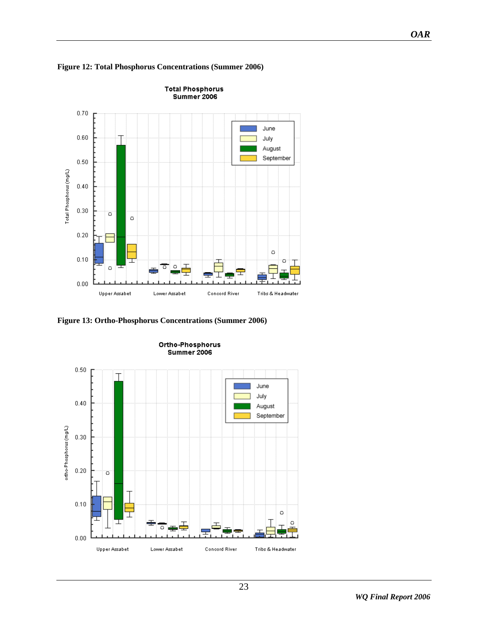![](_page_22_Figure_0.jpeg)

<span id="page-22-0"></span>**Figure 12: Total Phosphorus Concentrations (Summer 2006)** 

**Figure 13: Ortho-Phosphorus Concentrations (Summer 2006)** 

![](_page_22_Figure_3.jpeg)

*WQ Final Report 2006* 

*OAR*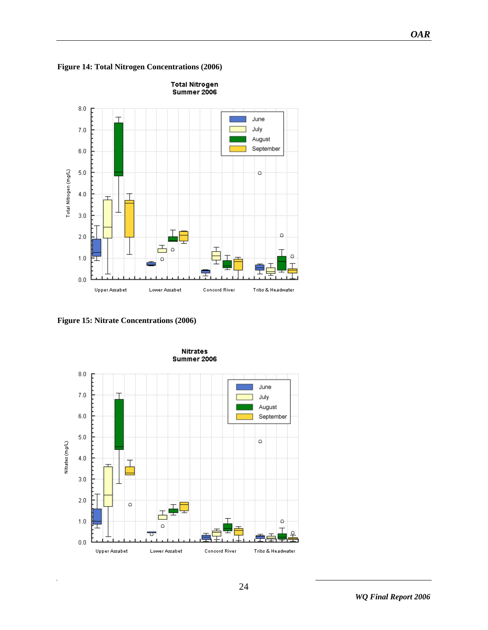<span id="page-23-0"></span>![](_page_23_Figure_0.jpeg)

![](_page_23_Figure_1.jpeg)

**Figure 15: Nitrate Concentrations (2006)** 

![](_page_23_Figure_3.jpeg)

*OAR*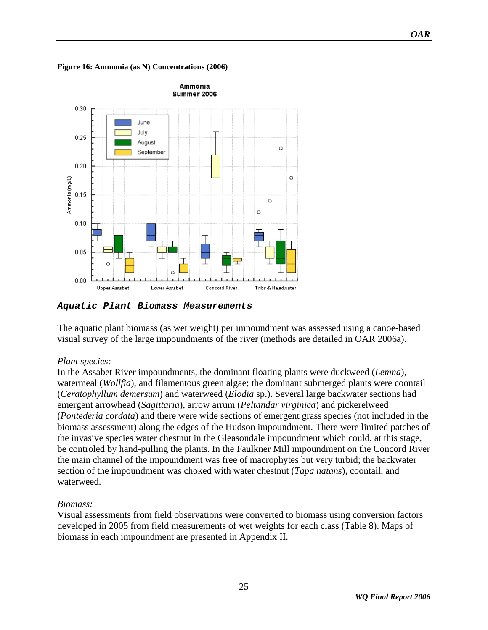<span id="page-24-0"></span>**Figure 16: Ammonia (as N) Concentrations (2006)** 

![](_page_24_Figure_1.jpeg)

*Aquatic Plant Biomass Measurements* 

The aquatic plant biomass (as wet weight) per impoundment was assessed using a canoe-based visual survey of the large impoundments of the river (methods are detailed in OAR 2006a).

### *Plant species:*

In the Assabet River impoundments, the dominant floating plants were duckweed (*Lemna*), watermeal (*Wollfia*), and filamentous green algae; the dominant submerged plants were coontail (*Ceratophyllum demersum*) and waterweed (*Elodia* sp.). Several large backwater sections had emergent arrowhead (*Sagittaria*), arrow arrum (*Peltandar virginica*) and pickerelweed (*Pontederia cordata*) and there were wide sections of emergent grass species (not included in the biomass assessment) along the edges of the Hudson impoundment. There were limited patches of the invasive species water chestnut in the Gleasondale impoundment which could, at this stage, be controled by hand-pulling the plants. In the Faulkner Mill impoundment on the Concord River the main channel of the impoundment was free of macrophytes but very turbid; the backwater section of the impoundment was choked with water chestnut (*Tapa natans*), coontail, and waterweed.

# *Biomass:*

Visual assessments from field observations were converted to biomass using conversion factors developed in 2005 from field measurements of wet weights for each class (Table 8). Maps of biomass in each impoundment are presented in Appendix II.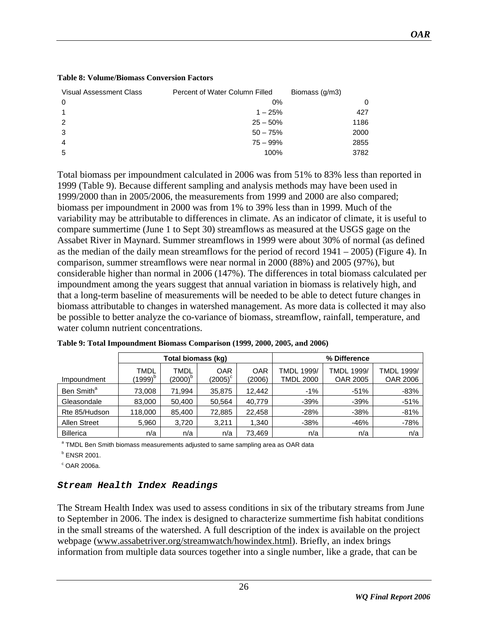| <b>Visual Assessment Class</b> | Percent of Water Column Filled | Biomass (g/m3) |
|--------------------------------|--------------------------------|----------------|
| 0                              | 0%                             | 0              |
|                                | $1 - 25%$                      | 427            |
| 2                              | $25 - 50%$                     | 1186           |
| 3                              | $50 - 75%$                     | 2000           |
| 4                              | $75 - 99%$                     | 2855           |
| 5                              | 100%                           | 3782           |

#### <span id="page-25-0"></span>**Table 8: Volume/Biomass Conversion Factors**

Total biomass per impoundment calculated in 2006 was from 51% to 83% less than reported in 1999 (Table 9). Because different sampling and analysis methods may have been used in 1999/2000 than in 2005/2006, the measurements from 1999 and 2000 are also compared; biomass per impoundment in 2000 was from 1% to 39% less than in 1999. Much of the variability may be attributable to differences in climate. As an indicator of climate, it is useful to compare summertime (June 1 to Sept 30) streamflows as measured at the USGS gage on the Assabet River in Maynard. Summer streamflows in 1999 were about 30% of normal (as defined as the median of the daily mean streamflows for the period of record 1941 – 2005) (Figure 4). In comparison, summer streamflows were near normal in 2000 (88%) and 2005 (97%), but considerable higher than normal in 2006 (147%). The differences in total biomass calculated per impoundment among the years suggest that annual variation in biomass is relatively high, and that a long-term baseline of measurements will be needed to be able to detect future changes in biomass attributable to changes in watershed management. As more data is collected it may also be possible to better analyze the co-variance of biomass, streamflow, rainfall, temperature, and water column nutrient concentrations.

|                        |                             | Total biomass (kg)          |                                |                      |                                | % Difference                  |                               |
|------------------------|-----------------------------|-----------------------------|--------------------------------|----------------------|--------------------------------|-------------------------------|-------------------------------|
| Impoundment            | TMDL<br>(1999) <sup>p</sup> | TMDL<br>(2000) <sup>p</sup> | <b>OAR</b><br>$(2005)^{\circ}$ | <b>OAR</b><br>(2006) | TMDL 1999/<br><b>TMDL 2000</b> | <b>TMDL 1999/</b><br>OAR 2005 | TMDL 1999/<br><b>OAR 2006</b> |
| Ben Smith <sup>a</sup> | 73,008                      | 71,994                      | 35,875                         | 12.442               | $-1%$                          | $-51%$                        | $-83%$                        |
| Gleasondale            | 83,000                      | 50,400                      | 50,564                         | 40.779               | $-39%$                         | $-39%$                        | $-51%$                        |
| Rte 85/Hudson          | 118,000                     | 85,400                      | 72,885                         | 22,458               | $-28%$                         | $-38%$                        | $-81%$                        |
| <b>Allen Street</b>    | 5,960                       | 3,720                       | 3.211                          | 1.340                | $-38%$                         | $-46%$                        | $-78%$                        |
| <b>Billerica</b>       | n/a                         | n/a                         | n/a                            | 73,469               | n/a                            | n/a                           | n/a                           |

| Table 9: Total Impoundment Biomass Comparison (1999, 2000, 2005, and 2006) |
|----------------------------------------------------------------------------|
|----------------------------------------------------------------------------|

<sup>a</sup> TMDL Ben Smith biomass measurements adjusted to same sampling area as OAR data

<sup>b</sup> ENSR 2001.

 $\degree$  OAR 2006a.

### *Stream Health Index Readings*

The Stream Health Index was used to assess conditions in six of the tributary streams from June to September in 2006. The index is designed to characterize summertime fish habitat conditions in the small streams of the watershed. A full description of the index is available on the project webpage ([www.assabetriver.org/streamwatch/howindex.html\)](http://www.assabetriver.org/streamwatch/howindex.html). Briefly, an index brings information from multiple data sources together into a single number, like a grade, that can be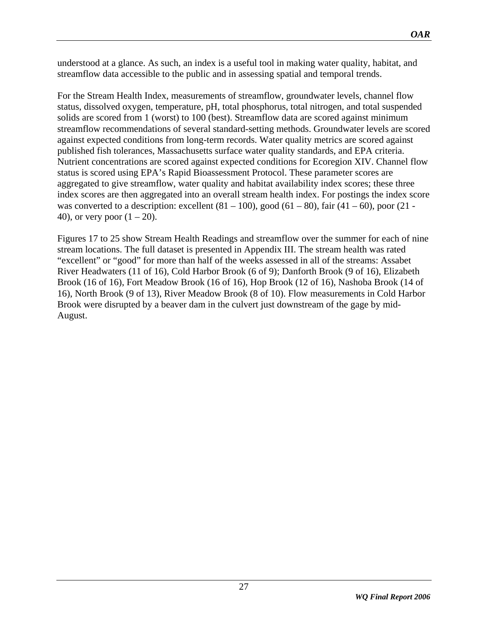understood at a glance. As such, an index is a useful tool in making water quality, habitat, and streamflow data accessible to the public and in assessing spatial and temporal trends.

For the Stream Health Index, measurements of streamflow, groundwater levels, channel flow status, dissolved oxygen, temperature, pH, total phosphorus, total nitrogen, and total suspended solids are scored from 1 (worst) to 100 (best). Streamflow data are scored against minimum streamflow recommendations of several standard-setting methods. Groundwater levels are scored against expected conditions from long-term records. Water quality metrics are scored against published fish tolerances, Massachusetts surface water quality standards, and EPA criteria. Nutrient concentrations are scored against expected conditions for Ecoregion XIV. Channel flow status is scored using EPA's Rapid Bioassessment Protocol. These parameter scores are aggregated to give streamflow, water quality and habitat availability index scores; these three index scores are then aggregated into an overall stream health index. For postings the index score was converted to a description: excellent  $(81 – 100)$ , good  $(61 – 80)$ , fair  $(41 – 60)$ , poor  $(21 – 60)$ 40), or very poor  $(1 - 20)$ .

Figures 17 to 25 show Stream Health Readings and streamflow over the summer for each of nine stream locations. The full dataset is presented in Appendix III. The stream health was rated "excellent" or "good" for more than half of the weeks assessed in all of the streams: Assabet River Headwaters (11 of 16), Cold Harbor Brook (6 of 9); Danforth Brook (9 of 16), Elizabeth Brook (16 of 16), Fort Meadow Brook (16 of 16), Hop Brook (12 of 16), Nashoba Brook (14 of 16), North Brook (9 of 13), River Meadow Brook (8 of 10). Flow measurements in Cold Harbor Brook were disrupted by a beaver dam in the culvert just downstream of the gage by mid-August.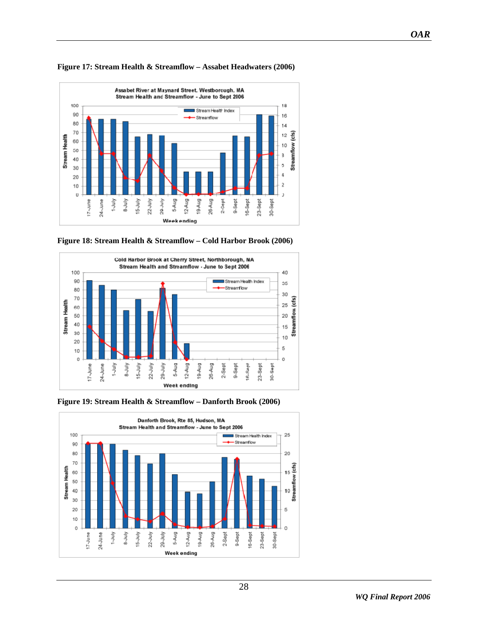![](_page_27_Figure_0.jpeg)

#### <span id="page-27-0"></span>**Figure 17: Stream Health & Streamflow – Assabet Headwaters (2006)**

![](_page_27_Figure_2.jpeg)

![](_page_27_Figure_3.jpeg)

**Figure 19: Stream Health & Streamflow – Danforth Brook (2006)** 

![](_page_27_Figure_5.jpeg)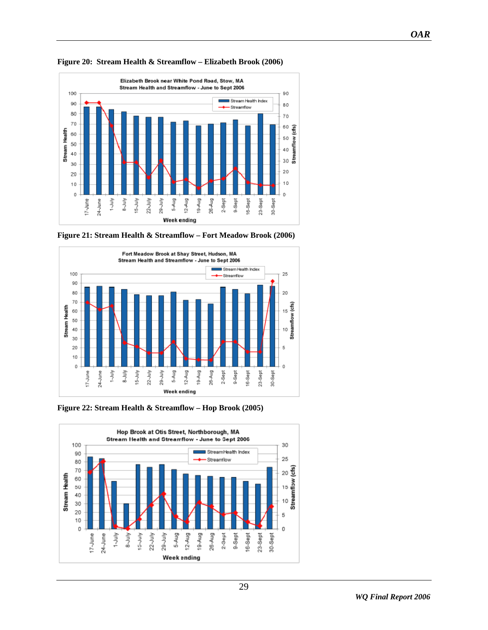![](_page_28_Figure_1.jpeg)

#### <span id="page-28-0"></span>**Figure 20: Stream Health & Streamflow – Elizabeth Brook (2006)**

![](_page_28_Figure_3.jpeg)

![](_page_28_Figure_4.jpeg)

**Figure 22: Stream Health & Streamflow – Hop Brook (2005)** 

![](_page_28_Figure_6.jpeg)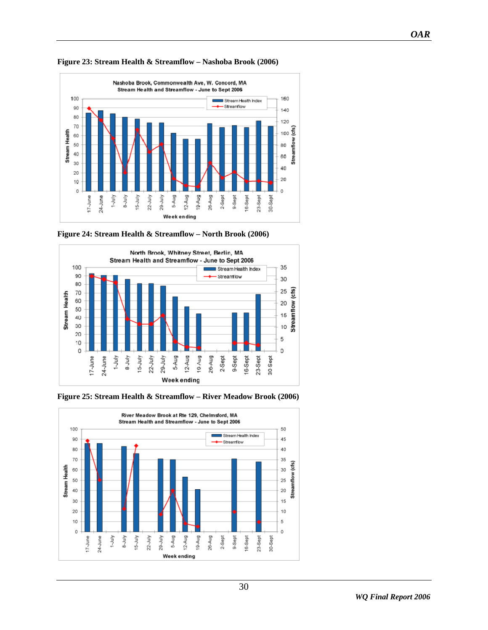![](_page_29_Figure_1.jpeg)

<span id="page-29-0"></span>**Figure 23: Stream Health & Streamflow – Nashoba Brook (2006)** 

![](_page_29_Figure_3.jpeg)

![](_page_29_Figure_4.jpeg)

![](_page_29_Figure_5.jpeg)

![](_page_29_Figure_6.jpeg)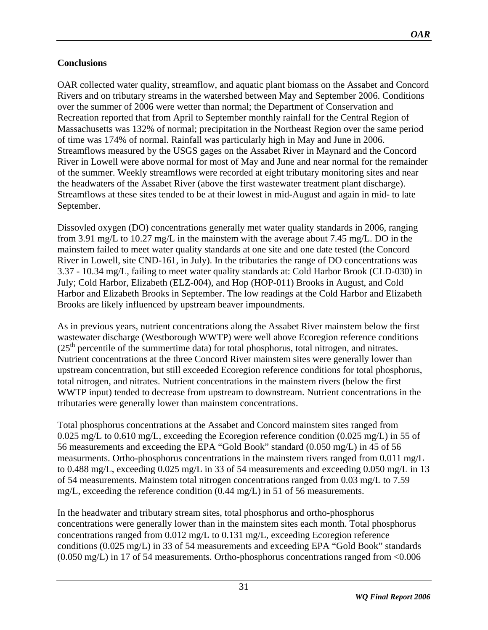# <span id="page-30-0"></span>**Conclusions**

OAR collected water quality, streamflow, and aquatic plant biomass on the Assabet and Concord Rivers and on tributary streams in the watershed between May and September 2006. Conditions over the summer of 2006 were wetter than normal; the Department of Conservation and Recreation reported that from April to September monthly rainfall for the Central Region of Massachusetts was 132% of normal; precipitation in the Northeast Region over the same period of time was 174% of normal. Rainfall was particularly high in May and June in 2006. Streamflows measured by the USGS gages on the Assabet River in Maynard and the Concord River in Lowell were above normal for most of May and June and near normal for the remainder of the summer. Weekly streamflows were recorded at eight tributary monitoring sites and near the headwaters of the Assabet River (above the first wastewater treatment plant discharge). Streamflows at these sites tended to be at their lowest in mid-August and again in mid- to late September.

Dissovled oxygen (DO) concentrations generally met water quality standards in 2006, ranging from 3.91 mg/L to 10.27 mg/L in the mainstem with the average about 7.45 mg/L. DO in the mainstem failed to meet water quality standards at one site and one date tested (the Concord River in Lowell, site CND-161, in July). In the tributaries the range of DO concentrations was 3.37 - 10.34 mg/L, failing to meet water quality standards at: Cold Harbor Brook (CLD-030) in July; Cold Harbor, Elizabeth (ELZ-004), and Hop (HOP-011) Brooks in August, and Cold Harbor and Elizabeth Brooks in September. The low readings at the Cold Harbor and Elizabeth Brooks are likely influenced by upstream beaver impoundments.

As in previous years, nutrient concentrations along the Assabet River mainstem below the first wastewater discharge (Westborough WWTP) were well above Ecoregion reference conditions  $(25<sup>th</sup>$  percentile of the summertime data) for total phosphorus, total nitrogen, and nitrates. Nutrient concentrations at the three Concord River mainstem sites were generally lower than upstream concentration, but still exceeded Ecoregion reference conditions for total phosphorus, total nitrogen, and nitrates. Nutrient concentrations in the mainstem rivers (below the first WWTP input) tended to decrease from upstream to downstream. Nutrient concentrations in the tributaries were generally lower than mainstem concentrations.

Total phosphorus concentrations at the Assabet and Concord mainstem sites ranged from 0.025 mg/L to 0.610 mg/L, exceeding the Ecoregion reference condition (0.025 mg/L) in 55 of 56 measurements and exceeding the EPA "Gold Book" standard (0.050 mg/L) in 45 of 56 measurments. Ortho-phosphorus concentrations in the mainstem rivers ranged from 0.011 mg/L to 0.488 mg/L, exceeding 0.025 mg/L in 33 of 54 measurements and exceeding 0.050 mg/L in 13 of 54 measurements. Mainstem total nitrogen concentrations ranged from 0.03 mg/L to 7.59 mg/L, exceeding the reference condition  $(0.44 \text{ mg/L})$  in 51 of 56 measurements.

In the headwater and tributary stream sites, total phosphorus and ortho-phosphorus concentrations were generally lower than in the mainstem sites each month. Total phosphorus concentrations ranged from 0.012 mg/L to 0.131 mg/L, exceeding Ecoregion reference conditions (0.025 mg/L) in 33 of 54 measurements and exceeding EPA "Gold Book" standards (0.050 mg/L) in 17 of 54 measurements. Ortho-phosphorus concentrations ranged from <0.006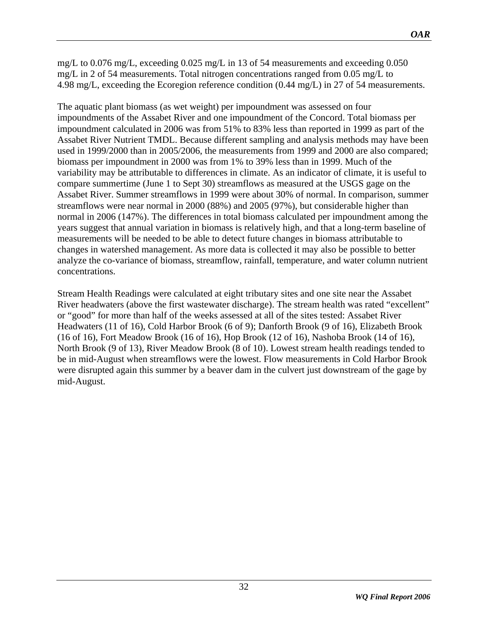mg/L to 0.076 mg/L, exceeding 0.025 mg/L in 13 of 54 measurements and exceeding 0.050 mg/L in 2 of 54 measurements. Total nitrogen concentrations ranged from 0.05 mg/L to 4.98 mg/L, exceeding the Ecoregion reference condition (0.44 mg/L) in 27 of 54 measurements.

The aquatic plant biomass (as wet weight) per impoundment was assessed on four impoundments of the Assabet River and one impoundment of the Concord. Total biomass per impoundment calculated in 2006 was from 51% to 83% less than reported in 1999 as part of the Assabet River Nutrient TMDL. Because different sampling and analysis methods may have been used in 1999/2000 than in 2005/2006, the measurements from 1999 and 2000 are also compared; biomass per impoundment in 2000 was from 1% to 39% less than in 1999. Much of the variability may be attributable to differences in climate. As an indicator of climate, it is useful to compare summertime (June 1 to Sept 30) streamflows as measured at the USGS gage on the Assabet River. Summer streamflows in 1999 were about 30% of normal. In comparison, summer streamflows were near normal in 2000 (88%) and 2005 (97%), but considerable higher than normal in 2006 (147%). The differences in total biomass calculated per impoundment among the years suggest that annual variation in biomass is relatively high, and that a long-term baseline of measurements will be needed to be able to detect future changes in biomass attributable to changes in watershed management. As more data is collected it may also be possible to better analyze the co-variance of biomass, streamflow, rainfall, temperature, and water column nutrient concentrations.

Stream Health Readings were calculated at eight tributary sites and one site near the Assabet River headwaters (above the first wastewater discharge). The stream health was rated "excellent" or "good" for more than half of the weeks assessed at all of the sites tested: Assabet River Headwaters (11 of 16), Cold Harbor Brook (6 of 9); Danforth Brook (9 of 16), Elizabeth Brook (16 of 16), Fort Meadow Brook (16 of 16), Hop Brook (12 of 16), Nashoba Brook (14 of 16), North Brook (9 of 13), River Meadow Brook (8 of 10). Lowest stream health readings tended to be in mid-August when streamflows were the lowest. Flow measurements in Cold Harbor Brook were disrupted again this summer by a beaver dam in the culvert just downstream of the gage by mid-August.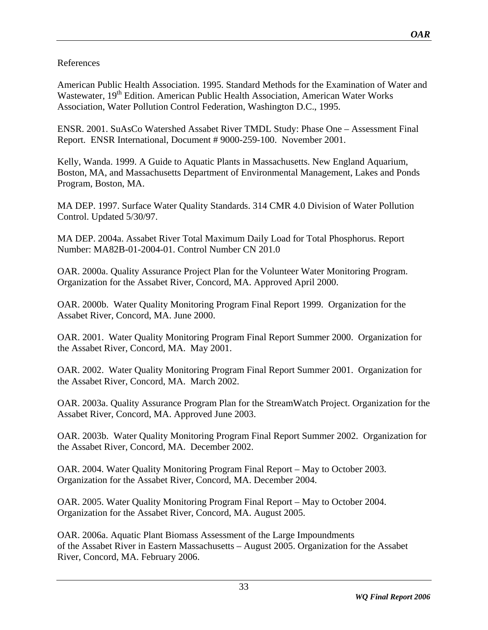# References

American Public Health Association. 1995. Standard Methods for the Examination of Water and Wastewater, 19<sup>th</sup> Edition. American Public Health Association, American Water Works Association, Water Pollution Control Federation, Washington D.C., 1995.

ENSR. 2001. SuAsCo Watershed Assabet River TMDL Study: Phase One – Assessment Final Report. ENSR International, Document # 9000-259-100. November 2001.

Kelly, Wanda. 1999. A Guide to Aquatic Plants in Massachusetts. New England Aquarium, Boston, MA, and Massachusetts Department of Environmental Management, Lakes and Ponds Program, Boston, MA.

MA DEP. 1997. Surface Water Quality Standards. 314 CMR 4.0 Division of Water Pollution Control. Updated 5/30/97.

MA DEP. 2004a. Assabet River Total Maximum Daily Load for Total Phosphorus. Report Number: MA82B-01-2004-01. Control Number CN 201.0

OAR. 2000a. Quality Assurance Project Plan for the Volunteer Water Monitoring Program. Organization for the Assabet River, Concord, MA. Approved April 2000.

OAR. 2000b. Water Quality Monitoring Program Final Report 1999. Organization for the Assabet River, Concord, MA. June 2000.

OAR. 2001. Water Quality Monitoring Program Final Report Summer 2000. Organization for the Assabet River, Concord, MA. May 2001.

OAR. 2002. Water Quality Monitoring Program Final Report Summer 2001. Organization for the Assabet River, Concord, MA. March 2002.

OAR. 2003a. Quality Assurance Program Plan for the StreamWatch Project. Organization for the Assabet River, Concord, MA. Approved June 2003.

OAR. 2003b. Water Quality Monitoring Program Final Report Summer 2002. Organization for the Assabet River, Concord, MA. December 2002.

OAR. 2004. Water Quality Monitoring Program Final Report – May to October 2003. Organization for the Assabet River, Concord, MA. December 2004.

OAR. 2005. Water Quality Monitoring Program Final Report – May to October 2004. Organization for the Assabet River, Concord, MA. August 2005.

OAR. 2006a. Aquatic Plant Biomass Assessment of the Large Impoundments of the Assabet River in Eastern Massachusetts – August 2005. Organization for the Assabet River, Concord, MA. February 2006.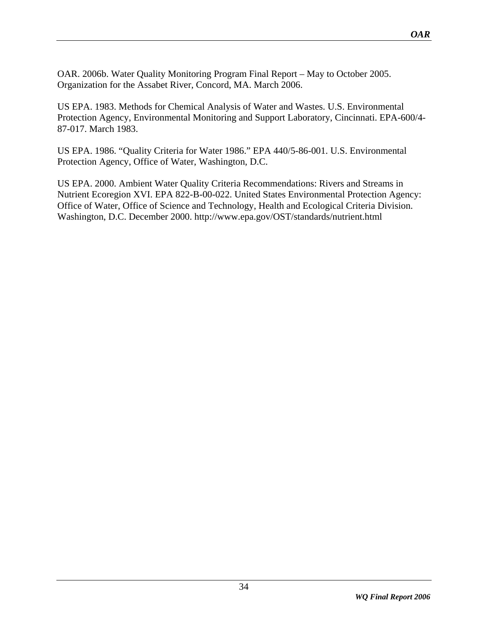OAR. 2006b. Water Quality Monitoring Program Final Report – May to October 2005. Organization for the Assabet River, Concord, MA. March 2006.

US EPA. 1983. Methods for Chemical Analysis of Water and Wastes. U.S. Environmental Protection Agency, Environmental Monitoring and Support Laboratory, Cincinnati. EPA-600/4- 87-017. March 1983.

US EPA. 1986. "Quality Criteria for Water 1986." EPA 440/5-86-001. U.S. Environmental Protection Agency, Office of Water, Washington, D.C.

US EPA. 2000. Ambient Water Quality Criteria Recommendations: Rivers and Streams in Nutrient Ecoregion XVI. EPA 822-B-00-022. United States Environmental Protection Agency: Office of Water, Office of Science and Technology, Health and Ecological Criteria Division. Washington, D.C. December 2000. http://www.epa.gov/OST/standards/nutrient.html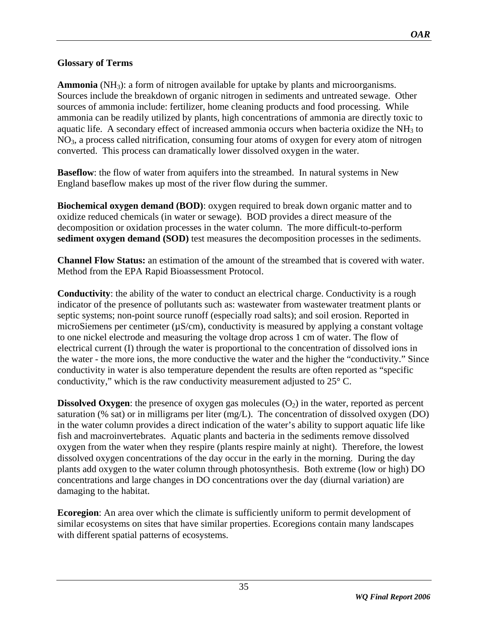# <span id="page-34-0"></span>**Glossary of Terms**

**Ammonia** (NH<sub>3</sub>): a form of nitrogen available for uptake by plants and microorganisms. Sources include the breakdown of organic nitrogen in sediments and untreated sewage. Other sources of ammonia include: fertilizer, home cleaning products and food processing. While ammonia can be readily utilized by plants, high concentrations of ammonia are directly toxic to aquatic life. A secondary effect of increased ammonia occurs when bacteria oxidize the  $NH<sub>3</sub>$  to NO3, a process called nitrification, consuming four atoms of oxygen for every atom of nitrogen converted. This process can dramatically lower dissolved oxygen in the water.

**Baseflow**: the flow of water from aquifers into the streambed. In natural systems in New England baseflow makes up most of the river flow during the summer.

**Biochemical oxygen demand (BOD)**: oxygen required to break down organic matter and to oxidize reduced chemicals (in water or sewage). BOD provides a direct measure of the decomposition or oxidation processes in the water column. The more difficult-to-perform **sediment oxygen demand (SOD)** test measures the decomposition processes in the sediments.

**Channel Flow Status:** an estimation of the amount of the streambed that is covered with water. Method from the EPA Rapid Bioassessment Protocol.

**Conductivity**: the ability of the water to conduct an electrical charge. Conductivity is a rough indicator of the presence of pollutants such as: wastewater from wastewater treatment plants or septic systems; non-point source runoff (especially road salts); and soil erosion. Reported in microSiemens per centimeter ( $\mu$ S/cm), conductivity is measured by applying a constant voltage to one nickel electrode and measuring the voltage drop across 1 cm of water. The flow of electrical current (I) through the water is proportional to the concentration of dissolved ions in the water - the more ions, the more conductive the water and the higher the "conductivity." Since conductivity in water is also temperature dependent the results are often reported as "specific conductivity," which is the raw conductivity measurement adjusted to 25° C.

**Dissolved Oxygen**: the presence of oxygen gas molecules  $(O_2)$  in the water, reported as percent saturation (% sat) or in milligrams per liter (mg/L). The concentration of dissolved oxygen (DO) in the water column provides a direct indication of the water's ability to support aquatic life like fish and macroinvertebrates. Aquatic plants and bacteria in the sediments remove dissolved oxygen from the water when they respire (plants respire mainly at night). Therefore, the lowest dissolved oxygen concentrations of the day occur in the early in the morning. During the day plants add oxygen to the water column through photosynthesis. Both extreme (low or high) DO concentrations and large changes in DO concentrations over the day (diurnal variation) are damaging to the habitat.

**Ecoregion**: An area over which the climate is sufficiently uniform to permit development of similar ecosystems on sites that have similar properties. Ecoregions contain many landscapes with different spatial patterns of ecosystems.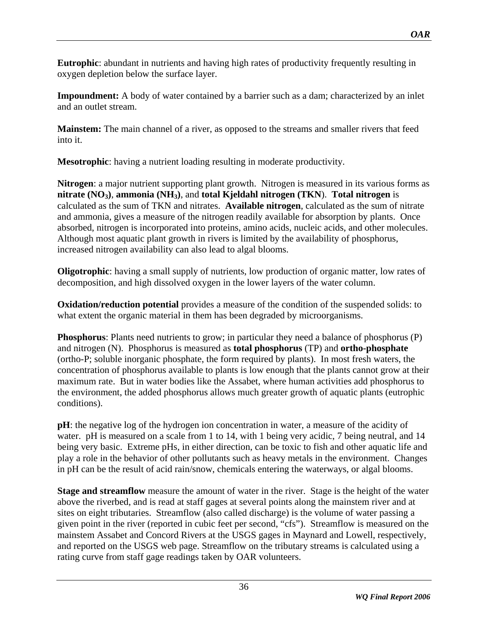**Eutrophic**: abundant in nutrients and having high rates of productivity frequently resulting in oxygen depletion below the surface layer.

**Impoundment:** A body of water contained by a barrier such as a dam; characterized by an inlet and an outlet stream.

**Mainstem:** The main channel of a river, as opposed to the streams and smaller rivers that feed into it.

**Mesotrophic**: having a nutrient loading resulting in moderate productivity.

**Nitrogen**: a major nutrient supporting plant growth. Nitrogen is measured in its various forms as **nitrate (NO3)**, **ammonia (NH3)**, and **total Kjeldahl nitrogen (TKN**). **Total nitrogen** is calculated as the sum of TKN and nitrates. **Available nitrogen**, calculated as the sum of nitrate and ammonia, gives a measure of the nitrogen readily available for absorption by plants. Once absorbed, nitrogen is incorporated into proteins, amino acids, nucleic acids, and other molecules. Although most aquatic plant growth in rivers is limited by the availability of phosphorus, increased nitrogen availability can also lead to algal blooms.

**Oligotrophic**: having a small supply of nutrients, low production of organic matter, low rates of decomposition, and high dissolved oxygen in the lower layers of the water column.

**Oxidation/reduction potential** provides a measure of the condition of the suspended solids: to what extent the organic material in them has been degraded by microorganisms.

**Phosphorus**: Plants need nutrients to grow; in particular they need a balance of phosphorus (P) and nitrogen (N). Phosphorus is measured as **total phosphorus** (TP) and **ortho-phosphate** (ortho-P; soluble inorganic phosphate, the form required by plants). In most fresh waters, the concentration of phosphorus available to plants is low enough that the plants cannot grow at their maximum rate. But in water bodies like the Assabet, where human activities add phosphorus to the environment, the added phosphorus allows much greater growth of aquatic plants (eutrophic conditions).

**pH**: the negative log of the hydrogen ion concentration in water, a measure of the acidity of water. pH is measured on a scale from 1 to 14, with 1 being very acidic, 7 being neutral, and 14 being very basic. Extreme pHs, in either direction, can be toxic to fish and other aquatic life and play a role in the behavior of other pollutants such as heavy metals in the environment. Changes in pH can be the result of acid rain/snow, chemicals entering the waterways, or algal blooms.

**Stage and streamflow** measure the amount of water in the river. Stage is the height of the water above the riverbed, and is read at staff gages at several points along the mainstem river and at sites on eight tributaries. Streamflow (also called discharge) is the volume of water passing a given point in the river (reported in cubic feet per second, "cfs"). Streamflow is measured on the mainstem Assabet and Concord Rivers at the USGS gages in Maynard and Lowell, respectively, and reported on the USGS web page. Streamflow on the tributary streams is calculated using a rating curve from staff gage readings taken by OAR volunteers.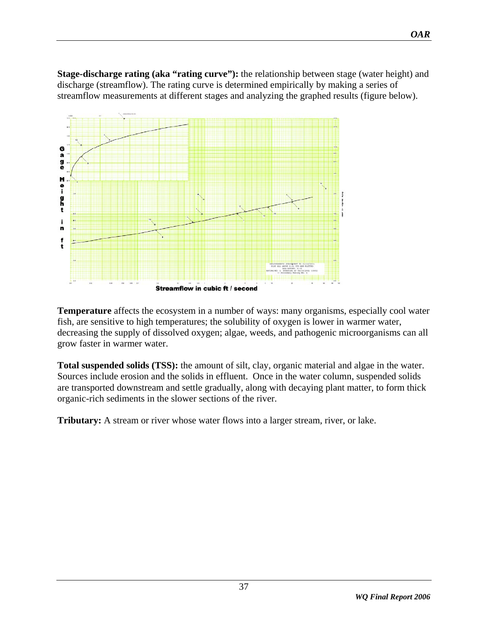**Stage-discharge rating (aka "rating curve"):** the relationship between stage (water height) and discharge (streamflow). The rating curve is determined empirically by making a series of streamflow measurements at different stages and analyzing the graphed results (figure below).

![](_page_36_Figure_2.jpeg)

**Temperature** affects the ecosystem in a number of ways: many organisms, especially cool water fish, are sensitive to high temperatures; the solubility of oxygen is lower in warmer water, decreasing the supply of dissolved oxygen; algae, weeds, and pathogenic microorganisms can all grow faster in warmer water.

**Total suspended solids (TSS):** the amount of silt, clay, organic material and algae in the water. Sources include erosion and the solids in effluent. Once in the water column, suspended solids are transported downstream and settle gradually, along with decaying plant matter, to form thick organic-rich sediments in the slower sections of the river.

**Tributary:** A stream or river whose water flows into a larger stream, river, or lake.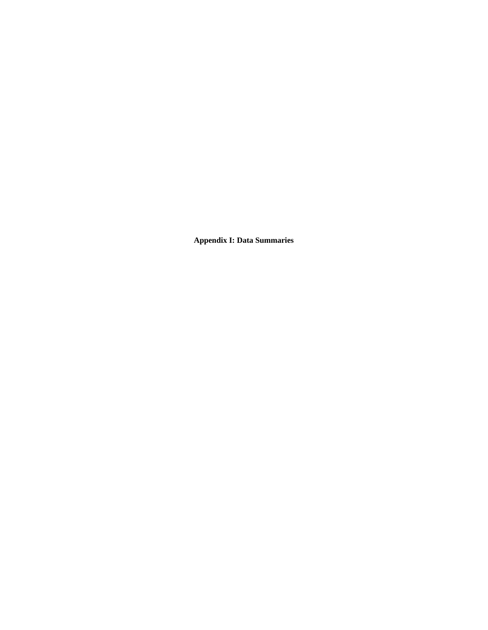**Appendix I: Data Summaries**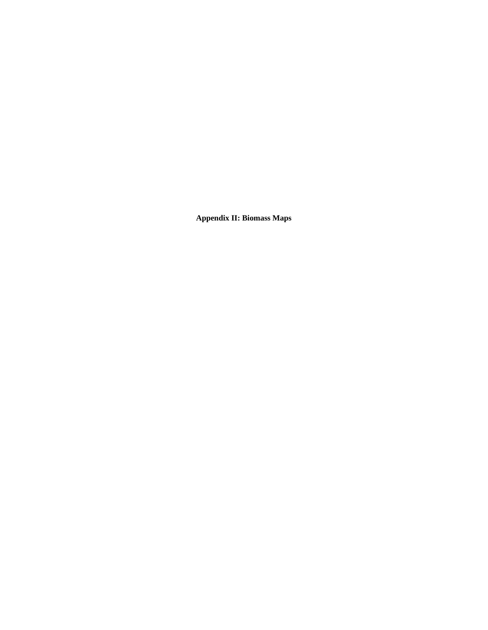**Appendix II: Biomass Maps**